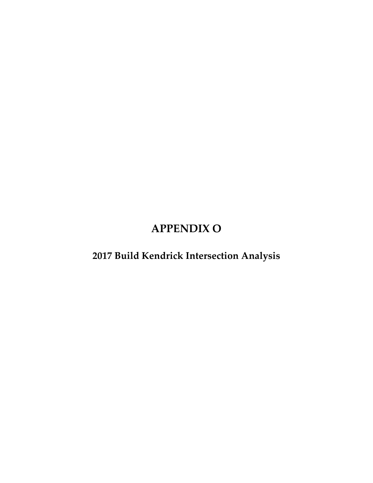# **APPENDIX O**

**2017 Build Kendrick Intersection Analysis**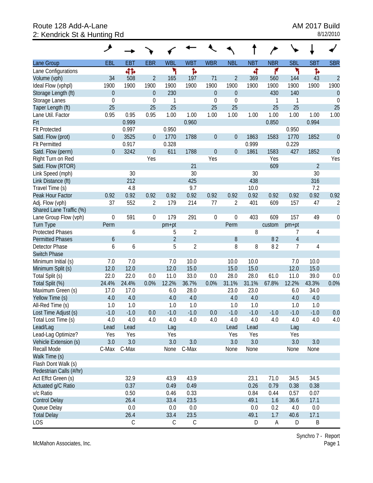# Route 128 Add-A-Lane<br>
2: Kendrick St & Hunting Rd<br>
2: Kendrick St & Hunting Rd 2: Kendrick St & Hunting Rd

|                         | ᢣ                |             |                  |                |                |                  |                  |            |            |                |                |                  |
|-------------------------|------------------|-------------|------------------|----------------|----------------|------------------|------------------|------------|------------|----------------|----------------|------------------|
| Lane Group              | EBL              | <b>EBT</b>  | <b>EBR</b>       | <b>WBL</b>     | <b>WBT</b>     | <b>WBR</b>       | <b>NBL</b>       | <b>NBT</b> | <b>NBR</b> | <b>SBL</b>     | <b>SBT</b>     | <b>SBR</b>       |
| Lane Configurations     |                  | 412         |                  | ۲              | Ъ              |                  |                  | ৰ          | ۴          | ۲              | Ъ              |                  |
| Volume (vph)            | 34               | 508         | $\overline{2}$   | 165            | 197            | 71               | $\overline{2}$   | 369        | 560        | 144            | 43             | $\overline{2}$   |
| Ideal Flow (vphpl)      | 1900             | 1900        | 1900             | 1900           | 1900           | 1900             | 1900             | 1900       | 1900       | 1900           | 1900           | 1900             |
| Storage Length (ft)     | $\boldsymbol{0}$ |             | $\theta$         | 230            |                | $\boldsymbol{0}$ | $\mathbf 0$      |            | 430        | 140            |                | $\theta$         |
| Storage Lanes           | $\mathbf 0$      |             | $\mathbf 0$      | 1              |                | $\mathbf 0$      | $\mathbf 0$      |            | 1          | 1              |                | $\boldsymbol{0}$ |
| Taper Length (ft)       | 25               |             | 25               | 25             |                | 25               | 25               |            | 25         | 25             |                | 25               |
| Lane Util. Factor       | 0.95             | 0.95        | 0.95             | 1.00           | 1.00           | 1.00             | 1.00             | 1.00       | 1.00       | 1.00           | 1.00           | 1.00             |
| Frt                     |                  | 0.999       |                  |                | 0.960          |                  |                  |            | 0.850      |                | 0.994          |                  |
| <b>Flt Protected</b>    |                  | 0.997       |                  | 0.950          |                |                  |                  |            |            | 0.950          |                |                  |
| Satd. Flow (prot)       | $\overline{0}$   | 3525        | $\theta$         | 1770           | 1788           | $\boldsymbol{0}$ | $\mathbf 0$      | 1863       | 1583       | 1770           | 1852           | $\theta$         |
| <b>Flt Permitted</b>    |                  | 0.917       |                  | 0.328          |                |                  |                  | 0.999      |            | 0.229          |                |                  |
| Satd. Flow (perm)       | $\mathbf{0}$     | 3242        | $\mathbf 0$      | 611            | 1788           | $\boldsymbol{0}$ | $\boldsymbol{0}$ | 1861       | 1583       | 427            | 1852           | $\overline{0}$   |
| Right Turn on Red       |                  |             | Yes              |                |                | Yes              |                  |            | Yes        |                |                | Yes              |
| Satd. Flow (RTOR)       |                  |             |                  |                | 21             |                  |                  |            | 609        |                | $\overline{2}$ |                  |
| Link Speed (mph)        |                  | 30          |                  |                | 30             |                  |                  | 30         |            |                | 30             |                  |
| Link Distance (ft)      |                  | 212         |                  |                | 425            |                  |                  | 438        |            |                | 316            |                  |
| Travel Time (s)         |                  | 4.8         |                  |                | 9.7            |                  |                  | 10.0       |            |                | 7.2            |                  |
| Peak Hour Factor        | 0.92             | 0.92        | 0.92             | 0.92           | 0.92           | 0.92             | 0.92             | 0.92       | 0.92       | 0.92           | 0.92           | 0.92             |
| Adj. Flow (vph)         | 37               | 552         | 2                | 179            | 214            | 77               | 2                | 401        | 609        | 157            | 47             | 2                |
| Shared Lane Traffic (%) |                  |             |                  |                |                |                  |                  |            |            |                |                |                  |
| Lane Group Flow (vph)   | $\boldsymbol{0}$ | 591         | $\boldsymbol{0}$ | 179            | 291            | $\boldsymbol{0}$ | $\mathbf 0$      | 403        | 609        | 157            | 49             | 0                |
| <b>Turn Type</b>        | Perm             |             |                  | pm+pt          |                |                  | Perm             |            | custom     | pm+pt          |                |                  |
| <b>Protected Phases</b> |                  | 6           |                  | 5              | $\overline{2}$ |                  |                  | 8          |            | 7              | 4              |                  |
| <b>Permitted Phases</b> | 6                |             |                  | $\overline{2}$ |                |                  | $8\,$            |            | 82         | $\overline{4}$ |                |                  |
| Detector Phase          | 6                | 6           |                  | 5              | $\overline{2}$ |                  | 8                | 8          | 82         | $\overline{7}$ | 4              |                  |
| Switch Phase            |                  |             |                  |                |                |                  |                  |            |            |                |                |                  |
| Minimum Initial (s)     | 7.0              | 7.0         |                  | 7.0            | 10.0           |                  | 10.0             | 10.0       |            | 7.0            | 10.0           |                  |
| Minimum Split (s)       | 12.0             | 12.0        |                  | 12.0           | 15.0           |                  | 15.0             | 15.0       |            | 12.0           | 15.0           |                  |
| Total Split (s)         | 22.0             | 22.0        | 0.0              | 11.0           | 33.0           | 0.0              | 28.0             | 28.0       | 61.0       | 11.0           | 39.0           | 0.0              |
| Total Split (%)         | 24.4%            | 24.4%       | 0.0%             | 12.2%          | 36.7%          | 0.0%             | 31.1%            | 31.1%      | 67.8%      | 12.2%          | 43.3%          | 0.0%             |
| Maximum Green (s)       | 17.0             | 17.0        |                  | 6.0            | 28.0           |                  | 23.0             | 23.0       |            | 6.0            | 34.0           |                  |
| Yellow Time (s)         | 4.0              | 4.0         |                  | 4.0            | 4.0            |                  | 4.0              | 4.0        |            | 4.0            | 4.0            |                  |
| All-Red Time (s)        | 1.0              | 1.0         |                  | 1.0            | 1.0            |                  | 1.0              | 1.0        |            | 1.0            | 1.0            |                  |
| Lost Time Adjust (s)    | $-1.0$           | $-1.0$      | 0.0              | $-1.0$         | $-1.0$         | 0.0              | $-1.0$           | $-1.0$     | $-1.0$     | $-1.0$         | $-1.0$         | 0.0              |
| Total Lost Time (s)     | 4.0              | 4.0         | 4.0              | 4.0            | 4.0            | 4.0              | 4.0              | 4.0        | 4.0        | 4.0            | 4.0            | 4.0              |
| Lead/Lag                | Lead             | Lead        |                  | Lag            |                |                  | Lead             | Lead       |            | Lag            |                |                  |
| Lead-Lag Optimize?      | Yes              | Yes         |                  | Yes            |                |                  | Yes              | Yes        |            | Yes            |                |                  |
| Vehicle Extension (s)   | 3.0              | 3.0         |                  | 3.0            | 3.0            |                  | 3.0              | 3.0        |            | 3.0            | 3.0            |                  |
| Recall Mode             | C-Max            | C-Max       |                  | None           | C-Max          |                  | None             | None       |            | None           | None           |                  |
| Walk Time (s)           |                  |             |                  |                |                |                  |                  |            |            |                |                |                  |
| Flash Dont Walk (s)     |                  |             |                  |                |                |                  |                  |            |            |                |                |                  |
| Pedestrian Calls (#/hr) |                  |             |                  |                |                |                  |                  |            |            |                |                |                  |
| Act Effct Green (s)     |                  | 32.9        |                  | 43.9           | 43.9           |                  |                  | 23.1       | 71.0       | 34.5           | 34.5           |                  |
| Actuated g/C Ratio      |                  | 0.37        |                  | 0.49           | 0.49           |                  |                  | 0.26       | 0.79       | 0.38           | 0.38           |                  |
| v/c Ratio               |                  | 0.50        |                  | 0.46           | 0.33           |                  |                  | 0.84       | 0.44       | 0.57           | 0.07           |                  |
| <b>Control Delay</b>    |                  | 26.4        |                  | 33.4           | 23.5           |                  |                  | 49.1       | 1.6        | 36.6           | 17.1           |                  |
| Queue Delay             |                  | 0.0         |                  | 0.0            | 0.0            |                  |                  | 0.0        | 0.2        | 4.0            | 0.0            |                  |
| <b>Total Delay</b>      |                  | 26.4        |                  | 33.4           | 23.5           |                  |                  | 49.1       | 1.7        | 40.6           | 17.1           |                  |
| LOS                     |                  | $\mathsf C$ |                  | C              | $\mathsf C$    |                  |                  | D          | Α          | D              | B              |                  |

McMahon Associates, Inc.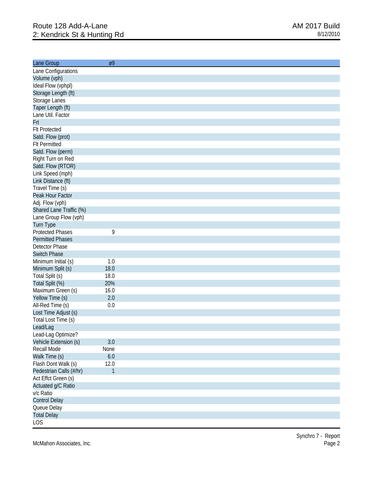| Lane Group              | Ø9           |  |
|-------------------------|--------------|--|
| Lane Configurations     |              |  |
| Volume (vph)            |              |  |
| Ideal Flow (vphpl)      |              |  |
| Storage Length (ft)     |              |  |
| Storage Lanes           |              |  |
| Taper Length (ft)       |              |  |
| Lane Util. Factor       |              |  |
| Frt                     |              |  |
| <b>Flt Protected</b>    |              |  |
| Satd. Flow (prot)       |              |  |
| <b>Flt Permitted</b>    |              |  |
| Satd. Flow (perm)       |              |  |
| Right Turn on Red       |              |  |
| Satd. Flow (RTOR)       |              |  |
| Link Speed (mph)        |              |  |
| Link Distance (ft)      |              |  |
| Travel Time (s)         |              |  |
| Peak Hour Factor        |              |  |
| Adj. Flow (vph)         |              |  |
| Shared Lane Traffic (%) |              |  |
| Lane Group Flow (vph)   |              |  |
| Turn Type               |              |  |
| <b>Protected Phases</b> | 9            |  |
| <b>Permitted Phases</b> |              |  |
| Detector Phase          |              |  |
| <b>Switch Phase</b>     |              |  |
| Minimum Initial (s)     | 1.0          |  |
| Minimum Split (s)       | 18.0         |  |
| Total Split (s)         | 18.0         |  |
| Total Split (%)         | 20%          |  |
| Maximum Green (s)       | 16.0         |  |
| Yellow Time (s)         | 2.0          |  |
| All-Red Time (s)        | 0.0          |  |
| Lost Time Adjust (s)    |              |  |
| Total Lost Time (s)     |              |  |
| Lead/Lag                |              |  |
| Lead-Lag Optimize?      |              |  |
| Vehicle Extension (s)   | 3.0          |  |
| Recall Mode             | None         |  |
| Walk Time (s)           | $6.0\,$      |  |
| Flash Dont Walk (s)     | 12.0         |  |
| Pedestrian Calls (#/hr) | $\mathbf{1}$ |  |
| Act Effct Green (s)     |              |  |
| Actuated g/C Ratio      |              |  |
| v/c Ratio               |              |  |
| <b>Control Delay</b>    |              |  |
| Queue Delay             |              |  |
| <b>Total Delay</b>      |              |  |
|                         |              |  |
| LOS                     |              |  |

McMahon Associates, Inc.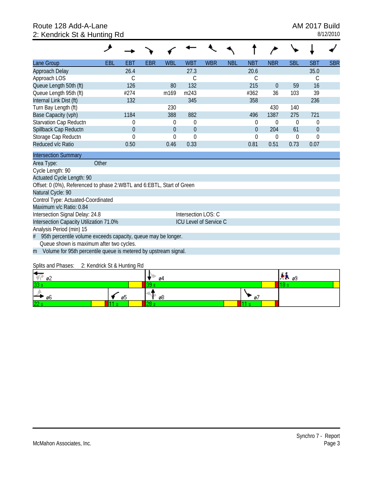# Route 128 Add-A-Lane **AM 2017 Build** 2: Kendrick St & Hunting Rd 8/12/2010

| Lane Group                                                            | EBL   | EBT         | <b>EBR</b> | <b>WBL</b>   | <b>WBT</b>                    | <b>WBR</b> | <b>NBL</b> | <b>NBT</b>     | <b>NBR</b> | <b>SBL</b>     | <b>SBT</b>       | <b>SBR</b> |
|-----------------------------------------------------------------------|-------|-------------|------------|--------------|-------------------------------|------------|------------|----------------|------------|----------------|------------------|------------|
| Approach Delay                                                        |       | 26.4        |            |              | 27.3                          |            |            | 20.6           |            |                | 35.0             |            |
| Approach LOS                                                          |       | C           |            |              | $\mathsf C$                   |            |            | C              |            |                | С                |            |
| Queue Length 50th (ft)                                                |       | 126         |            | 80           | 132                           |            |            | 215            | $\theta$   | 59             | 16               |            |
| Queue Length 95th (ft)                                                |       | #274        |            | m169         | m243                          |            |            | #362           | 36         | 103            | 39               |            |
| Internal Link Dist (ft)                                               |       | 132         |            |              | 345                           |            |            | 358            |            |                | 236              |            |
| Turn Bay Length (ft)                                                  |       |             |            | 230          |                               |            |            |                | 430        | 140            |                  |            |
| Base Capacity (vph)                                                   |       | 1184        |            | 388          | 882                           |            |            | 496            | 1387       | 275            | 721              |            |
| Starvation Cap Reductn                                                |       | 0           |            | 0            | $\theta$                      |            |            | $\theta$       | 0          | $\overline{0}$ | $\theta$         |            |
| Spillback Cap Reductn                                                 |       | $\mathbf 0$ |            | $\mathbf{0}$ | $\overline{0}$                |            |            | $\overline{0}$ | 204        | 61             | $\boldsymbol{0}$ |            |
| Storage Cap Reductn                                                   |       | $\Omega$    |            | $\Omega$     | 0                             |            |            | $\Omega$       | $\theta$   | 0              | 0                |            |
| Reduced v/c Ratio                                                     |       | 0.50        |            | 0.46         | 0.33                          |            |            | 0.81           | 0.51       | 0.73           | 0.07             |            |
| <b>Intersection Summary</b>                                           |       |             |            |              |                               |            |            |                |            |                |                  |            |
| Area Type:                                                            | Other |             |            |              |                               |            |            |                |            |                |                  |            |
| Cycle Length: 90                                                      |       |             |            |              |                               |            |            |                |            |                |                  |            |
| Actuated Cycle Length: 90                                             |       |             |            |              |                               |            |            |                |            |                |                  |            |
| Offset: 0 (0%), Referenced to phase 2:WBTL and 6:EBTL, Start of Green |       |             |            |              |                               |            |            |                |            |                |                  |            |
| Natural Cycle: 90                                                     |       |             |            |              |                               |            |            |                |            |                |                  |            |
| Control Type: Actuated-Coordinated                                    |       |             |            |              |                               |            |            |                |            |                |                  |            |
| Maximum v/c Ratio: 0.84                                               |       |             |            |              |                               |            |            |                |            |                |                  |            |
| Intersection Signal Delay: 24.8                                       |       |             |            |              | Intersection LOS: C           |            |            |                |            |                |                  |            |
| Intersection Capacity Utilization 71.0%                               |       |             |            |              | <b>ICU Level of Service C</b> |            |            |                |            |                |                  |            |
| Analysis Period (min) 15                                              |       |             |            |              |                               |            |            |                |            |                |                  |            |
| 95th percentile volume exceeds capacity, queue may be longer.<br>#    |       |             |            |              |                               |            |            |                |            |                |                  |            |
| Queue shown is maximum after two cycles.                              |       |             |            |              |                               |            |            |                |            |                |                  |            |
| Volume for 95th percentile queue is metered by upstream signal.<br>m  |       |             |            |              |                               |            |            |                |            |                |                  |            |
|                                                                       |       |             |            |              |                               |            |            |                |            |                |                  |            |

Splits and Phases: 2: Kendrick St & Hunting Rd

| H<br>ø2 |    | о4  |    | P ®9 |  |  |  |  |
|---------|----|-----|----|------|--|--|--|--|
| 33 s    |    | --- |    |      |  |  |  |  |
| ← 06    | ø5 | ø8  | Ø1 |      |  |  |  |  |
| 22s     |    | --  |    |      |  |  |  |  |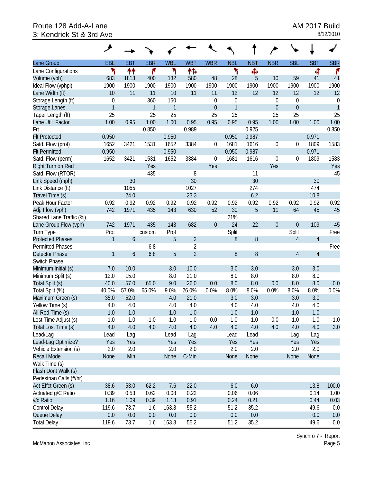# Route 128 Add-A-Lane **AM 2017 Build**<br>3: Kendrick St & 3rd Ave 3: Kendrick St & 3rd Ave

|                                            | ↗              |            |              |              |                |             |                  |                |                  |                  |            |                  |
|--------------------------------------------|----------------|------------|--------------|--------------|----------------|-------------|------------------|----------------|------------------|------------------|------------|------------------|
| Lane Group                                 | <b>EBL</b>     | <b>EBT</b> | <b>EBR</b>   | <b>WBL</b>   | <b>WBT</b>     | <b>WBR</b>  | <b>NBL</b>       | <b>NBT</b>     | <b>NBR</b>       | <b>SBL</b>       | <b>SBT</b> | <b>SBR</b>       |
| Lane Configurations                        | ۲              | ↟↟         | ۴            | ۲            | 怍              |             | ۲                | Ф              |                  |                  | 4          | ۴                |
| Volume (vph)                               | 683            | 1813       | 400          | 132          | 580            | 48          | 28               | 5              | 10               | 59               | 41         | 41               |
| Ideal Flow (vphpl)                         | 1900           | 1900       | 1900         | 1900         | 1900           | 1900        | 1900             | 1900           | 1900             | 1900             | 1900       | 1900             |
| Lane Width (ft)                            | 10             | 11         | 11           | 10           | 11             | 11          | 12               | 12             | 12               | 12               | 12         | 12               |
| Storage Length (ft)                        | $\mathbf 0$    |            | 360          | 150          |                | $\mathbf 0$ | $\boldsymbol{0}$ |                | $\boldsymbol{0}$ | $\boldsymbol{0}$ |            | $\boldsymbol{0}$ |
| Storage Lanes                              | $\overline{1}$ |            | $\mathbf{1}$ | $\mathbf{1}$ |                | $\mathbf 0$ | $\mathbf{1}$     |                | $\mathbf 0$      | $\mathbf 0$      |            | $\overline{1}$   |
| Taper Length (ft)                          | 25             |            | 25           | 25           |                | 25          | 25               |                | 25               | 25               |            | 25               |
| Lane Util. Factor                          | 1.00           | 0.95       | 1.00         | 1.00         | 0.95           | 0.95        | 0.95             | 0.95           | 1.00             | 1.00             | 1.00       | 1.00             |
| Frt                                        |                |            | 0.850        |              | 0.989          |             |                  | 0.925          |                  |                  |            | 0.850            |
| <b>Flt Protected</b>                       | 0.950          |            |              | 0.950        |                |             | 0.950            | 0.987          |                  |                  | 0.971      |                  |
| Satd. Flow (prot)                          | 1652           | 3421       | 1531         | 1652         | 3384           | 0           | 1681             | 1616           | 0                | $\boldsymbol{0}$ | 1809       | 1583             |
| <b>Flt Permitted</b>                       | 0.950          |            |              | 0.950        |                |             | 0.950            | 0.987          |                  |                  | 0.971      |                  |
| Satd. Flow (perm)                          | 1652           | 3421       | 1531         | 1652         | 3384           | $\mathbf 0$ | 1681             | 1616           | $\boldsymbol{0}$ | $\boldsymbol{0}$ | 1809       | 1583             |
| Right Turn on Red                          |                |            | Yes          |              |                | Yes         |                  |                | Yes              |                  |            | Yes              |
| Satd. Flow (RTOR)                          |                |            | 435          |              | 8              |             |                  | 11             |                  |                  |            | 45               |
| Link Speed (mph)                           |                | 30         |              |              | 30             |             |                  | 30             |                  |                  | 30         |                  |
| Link Distance (ft)                         |                | 1055       |              |              | 1027           |             |                  | 274            |                  |                  | 474        |                  |
| Travel Time (s)                            |                | 24.0       |              |              | 23.3           |             |                  | 6.2            |                  |                  | 10.8       |                  |
| Peak Hour Factor                           | 0.92           | 0.92       | 0.92         | 0.92         | 0.92           | 0.92        | 0.92             | 0.92           | 0.92             | 0.92             | 0.92       | 0.92             |
|                                            | 742            | 1971       | 435          | 143          | 630            | 52          | 30               | $\overline{5}$ | 11               | 64               | 45         | 45               |
| Adj. Flow (vph)<br>Shared Lane Traffic (%) |                |            |              |              |                |             |                  |                |                  |                  |            |                  |
|                                            |                | 1971       |              |              |                |             | 21%<br>24        |                |                  |                  |            |                  |
| Lane Group Flow (vph)                      | 742            |            | 435          | 143          | 682            | $\mathbf 0$ |                  | 22             | $\boldsymbol{0}$ | $\boldsymbol{0}$ | 109        | 45               |
| Turn Type                                  | Prot           |            | custom       | Prot         |                |             | Split            |                |                  | Split            |            | Free             |
| <b>Protected Phases</b>                    | $\mathbf{1}$   | 6          |              | 5            | $\overline{2}$ |             | 8                | 8              |                  | 4                | 4          |                  |
| <b>Permitted Phases</b>                    |                |            | 68           |              | $\overline{2}$ |             |                  |                |                  |                  |            | Free             |
| <b>Detector Phase</b>                      | $\mathbf{1}$   | 6          | 68           | 5            | $\overline{2}$ |             | 8                | 8              |                  | $\overline{4}$   | 4          |                  |
| Switch Phase                               |                |            |              |              |                |             |                  |                |                  |                  |            |                  |
| Minimum Initial (s)                        | 7.0            | 10.0       |              | 3.0          | 10.0           |             | 3.0              | 3.0            |                  | 3.0              | 3.0        |                  |
| Minimum Split (s)                          | 12.0           | 15.0       |              | 8.0          | 21.0           |             | 8.0              | 8.0            |                  | 8.0              | 8.0        |                  |
| Total Split (s)                            | 40.0           | 57.0       | 65.0         | 9.0          | 26.0           | 0.0         | 8.0              | 8.0            | 0.0              | 8.0              | 8.0        | 0.0              |
| Total Split (%)                            | 40.0%          | 57.0%      | 65.0%        | 9.0%         | 26.0%          | 0.0%        | 8.0%             | 8.0%           | 0.0%             | 8.0%             | 8.0%       | 0.0%             |
| Maximum Green (s)                          | 35.0           | 52.0       |              | 4.0          | 21.0           |             | 3.0              | 3.0            |                  | 3.0              | 3.0        |                  |
| Yellow Time (s)                            | 4.0            | 4.0        |              | 4.0          | 4.0            |             | 4.0              | 4.0            |                  | 4.0              | 4.0        |                  |
| All-Red Time (s)                           | 1.0            | 1.0        |              | 1.0          | 1.0            |             | 1.0              | 1.0            |                  | 1.0              | 1.0        |                  |
| Lost Time Adjust (s)                       | $-1.0$         | $-1.0$     | $-1.0$       | $-1.0$       | $-1.0$         | 0.0         | $-1.0$           | $-1.0$         | 0.0              | $-1.0$           | $-1.0$     | $-1.0$           |
| Total Lost Time (s)                        | 4.0            | 4.0        | 4.0          | 4.0          | 4.0            | 4.0         | 4.0              | 4.0            | 4.0              | 4.0              | 4.0        | 3.0              |
| Lead/Lag                                   | Lead           | Lag        |              | Lead         | Lag            |             | Lead             | Lead           |                  | Lag              | Lag        |                  |
| Lead-Lag Optimize?                         | Yes            | Yes        |              | Yes          | Yes            |             | Yes              | Yes            |                  | Yes              | Yes        |                  |
| Vehicle Extension (s)                      | 2.0            | 2.0        |              | 2.0          | 2.0            |             | 2.0              | 2.0            |                  | 2.0              | 2.0        |                  |
| <b>Recall Mode</b>                         | None           | Min        |              | None         | C-Min          |             | None             | None           |                  | None             | None       |                  |
| Walk Time (s)                              |                |            |              |              |                |             |                  |                |                  |                  |            |                  |
| Flash Dont Walk (s)                        |                |            |              |              |                |             |                  |                |                  |                  |            |                  |
| Pedestrian Calls (#/hr)                    |                |            |              |              |                |             |                  |                |                  |                  |            |                  |
| Act Effct Green (s)                        | 38.6           | 53.0       | 62.2         | 7.6          | 22.0           |             | 6.0              | 6.0            |                  |                  | 13.8       | 100.0            |
| Actuated g/C Ratio                         | 0.39           | 0.53       | 0.62         | 0.08         | 0.22           |             | 0.06             | 0.06           |                  |                  | 0.14       | 1.00             |
| v/c Ratio                                  | 1.16           | 1.09       | 0.39         | 1.13         | 0.91           |             | 0.24             | 0.21           |                  |                  | 0.44       | 0.03             |
| Control Delay                              | 119.6          | 73.7       | 1.6          | 163.8        | 55.2           |             | 51.2             | 35.2           |                  |                  | 49.6       | 0.0              |
| Queue Delay                                | 0.0            | 0.0        | 0.0          | 0.0          | 0.0            |             | 0.0              | 0.0            |                  |                  | 0.0        | 0.0              |
| <b>Total Delay</b>                         | 119.6          | 73.7       | 1.6          | 163.8        | 55.2           |             | 51.2             | 35.2           |                  |                  | 49.6       | 0.0              |

McMahon Associates, Inc.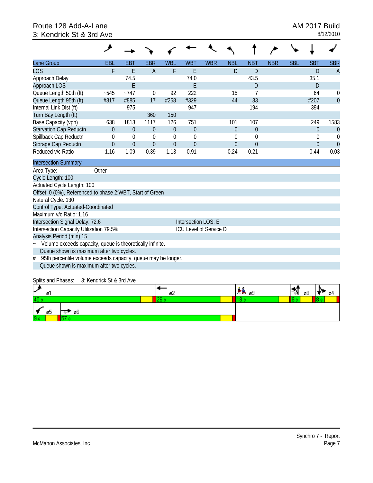# Route 128 Add-A-Lane **AM 2017 Build** 3: Kendrick St & 3rd Ave 8/12/2010

| Lane Group                                                         | EBL      | EBT      | <b>EBR</b>     | <b>WBL</b>       | <b>WBT</b>             | <b>WBR</b> | <b>NBL</b> | <b>NBT</b>  | <b>NBR</b> | <b>SBL</b> | <b>SBT</b>     | <b>SBR</b>     |
|--------------------------------------------------------------------|----------|----------|----------------|------------------|------------------------|------------|------------|-------------|------------|------------|----------------|----------------|
| <b>LOS</b>                                                         | F        | E        | $\overline{A}$ | F                | E                      |            | D          | D           |            |            | D              | $\overline{A}$ |
| Approach Delay                                                     |          | 74.5     |                |                  | 74.0                   |            |            | 43.5        |            |            | 35.1           |                |
| Approach LOS                                                       |          | E        |                |                  | E                      |            |            | D           |            |            | D              |                |
| Queue Length 50th (ft)                                             | $-545$   | $-747$   | $\theta$       | 92               | 222                    |            | 15         | 7           |            |            | 64             | $\theta$       |
| Queue Length 95th (ft)                                             | #817     | #885     | 17             | #258             | #329                   |            | 44         | 33          |            |            | #207           | $\overline{0}$ |
| Internal Link Dist (ft)                                            |          | 975      |                |                  | 947                    |            |            | 194         |            |            | 394            |                |
| Turn Bay Length (ft)                                               |          |          | 360            | 150              |                        |            |            |             |            |            |                |                |
| Base Capacity (vph)                                                | 638      | 1813     | 1117           | 126              | 751                    |            | 101        | 107         |            |            | 249            | 1583           |
| Starvation Cap Reductn                                             | $\theta$ | $\theta$ | 0              | $\theta$         | $\overline{0}$         |            | $\theta$   | $\theta$    |            |            | $\mathbf 0$    | $\theta$       |
| Spillback Cap Reductn                                              | $\theta$ | 0        | $\theta$       | $\boldsymbol{0}$ | $\theta$               |            | $\theta$   | $\mathbf 0$ |            |            | $\Omega$       | $\theta$       |
| Storage Cap Reductn                                                | $\theta$ | $\theta$ | $\Omega$       | $\theta$         | $\overline{0}$         |            | $\Omega$   | $\theta$    |            |            | $\overline{0}$ | $\overline{0}$ |
| Reduced v/c Ratio                                                  | 1.16     | 1.09     | 0.39           | 1.13             | 0.91                   |            | 0.24       | 0.21        |            |            | 0.44           | 0.03           |
| <b>Intersection Summary</b>                                        |          |          |                |                  |                        |            |            |             |            |            |                |                |
| Area Type:                                                         | Other    |          |                |                  |                        |            |            |             |            |            |                |                |
| Cycle Length: 100                                                  |          |          |                |                  |                        |            |            |             |            |            |                |                |
| Actuated Cycle Length: 100                                         |          |          |                |                  |                        |            |            |             |            |            |                |                |
| Offset: 0 (0%), Referenced to phase 2:WBT, Start of Green          |          |          |                |                  |                        |            |            |             |            |            |                |                |
| Natural Cycle: 130                                                 |          |          |                |                  |                        |            |            |             |            |            |                |                |
| Control Type: Actuated-Coordinated                                 |          |          |                |                  |                        |            |            |             |            |            |                |                |
| Maximum v/c Ratio: 1.16                                            |          |          |                |                  |                        |            |            |             |            |            |                |                |
| Intersection Signal Delay: 72.6                                    |          |          |                |                  | Intersection LOS: E    |            |            |             |            |            |                |                |
| Intersection Capacity Utilization 79.5%                            |          |          |                |                  | ICU Level of Service D |            |            |             |            |            |                |                |
| Analysis Period (min) 15                                           |          |          |                |                  |                        |            |            |             |            |            |                |                |
| Volume exceeds capacity, queue is theoretically infinite.          |          |          |                |                  |                        |            |            |             |            |            |                |                |
| Queue shown is maximum after two cycles.                           |          |          |                |                  |                        |            |            |             |            |            |                |                |
| 95th percentile volume exceeds capacity, queue may be longer.<br># |          |          |                |                  |                        |            |            |             |            |            |                |                |
| Queue shown is maximum after two cycles.                           |          |          |                |                  |                        |            |            |             |            |            |                |                |

#### Splits and Phases: 3: Kendrick St & 3rd Ave

| ×<br>ø         | ມ∠ | ле ø9 | ø8<br>04 |
|----------------|----|-------|----------|
| 40             |    |       |          |
| -ø6<br>ØD.     |    |       |          |
| 9 <sub>s</sub> |    |       |          |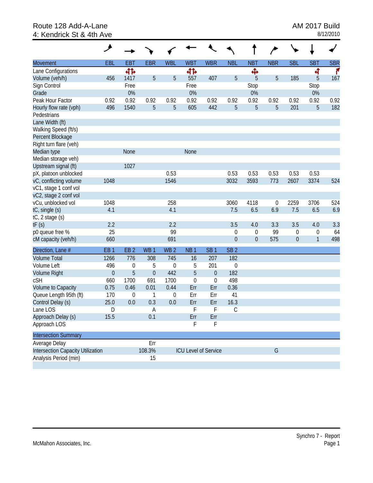### Route 128 Add-A-Lane <br>
4: Kendrick St & 4th Ave 8/12/2010 4: Kendrick St & 4th Ave

|                                   | حر              |                  |                 |                  |                 |                             |                 |                  | ∕                |                  |            |            |
|-----------------------------------|-----------------|------------------|-----------------|------------------|-----------------|-----------------------------|-----------------|------------------|------------------|------------------|------------|------------|
| <b>Movement</b>                   | EBL             | <b>EBT</b>       | <b>EBR</b>      | <b>WBL</b>       | <b>WBT</b>      | <b>WBR</b>                  | <b>NBL</b>      | <b>NBT</b>       | <b>NBR</b>       | <b>SBL</b>       | <b>SBT</b> | <b>SBR</b> |
| Lane Configurations               |                 | 412              |                 |                  | 412             |                             |                 | Ф                |                  |                  | 4          | ۴          |
| Volume (veh/h)                    | 456             | 1417             | 5               | 5                | 557             | 407                         | 5               | 5                | 5                | 185              | 5          | 167        |
| Sign Control                      |                 | Free             |                 |                  | Free            |                             |                 | Stop             |                  |                  | Stop       |            |
| Grade                             |                 | 0%               |                 |                  | 0%              |                             |                 | 0%               |                  |                  | 0%         |            |
| Peak Hour Factor                  | 0.92            | 0.92             | 0.92            | 0.92             | 0.92            | 0.92                        | 0.92            | 0.92             | 0.92             | 0.92             | 0.92       | 0.92       |
| Hourly flow rate (vph)            | 496             | 1540             | 5               | 5                | 605             | 442                         | 5               | $\overline{5}$   | 5                | 201              | 5          | 182        |
| Pedestrians                       |                 |                  |                 |                  |                 |                             |                 |                  |                  |                  |            |            |
| Lane Width (ft)                   |                 |                  |                 |                  |                 |                             |                 |                  |                  |                  |            |            |
| Walking Speed (ft/s)              |                 |                  |                 |                  |                 |                             |                 |                  |                  |                  |            |            |
| Percent Blockage                  |                 |                  |                 |                  |                 |                             |                 |                  |                  |                  |            |            |
| Right turn flare (veh)            |                 |                  |                 |                  |                 |                             |                 |                  |                  |                  |            |            |
| Median type                       |                 | None             |                 |                  | None            |                             |                 |                  |                  |                  |            |            |
| Median storage veh)               |                 |                  |                 |                  |                 |                             |                 |                  |                  |                  |            |            |
| Upstream signal (ft)              |                 | 1027             |                 |                  |                 |                             |                 |                  |                  |                  |            |            |
| pX, platoon unblocked             |                 |                  |                 | 0.53             |                 |                             | 0.53            | 0.53             | 0.53             | 0.53             | 0.53       |            |
| vC, conflicting volume            | 1048            |                  |                 | 1546             |                 |                             | 3032            | 3593             | 773              | 2607             | 3374       | 524        |
| vC1, stage 1 conf vol             |                 |                  |                 |                  |                 |                             |                 |                  |                  |                  |            |            |
| vC2, stage 2 conf vol             |                 |                  |                 |                  |                 |                             |                 |                  |                  |                  |            |            |
| vCu, unblocked vol                | 1048            |                  |                 | 258              |                 |                             | 3060            | 4118             | $\boldsymbol{0}$ | 2259             | 3706       | 524        |
| tC, single (s)                    | 4.1             |                  |                 | 4.1              |                 |                             | 7.5             | 6.5              | 6.9              | 7.5              | 6.5        | 6.9        |
| tC, 2 stage (s)                   |                 |                  |                 |                  |                 |                             |                 |                  |                  |                  |            |            |
| tF(s)                             | 2.2             |                  |                 | 2.2              |                 |                             | 3.5             | 4.0              | 3.3              | 3.5              | 4.0        | 3.3        |
| p0 queue free %                   | 25              |                  |                 | 99               |                 |                             | 0               | $\boldsymbol{0}$ | 99               | $\boldsymbol{0}$ | 0          | 64         |
| cM capacity (veh/h)               | 660             |                  |                 | 691              |                 |                             | $\overline{0}$  | $\boldsymbol{0}$ | 575              | $\mathbf 0$      | 1          | 498        |
| Direction, Lane #                 | EB <sub>1</sub> | EB <sub>2</sub>  | WB <sub>1</sub> | WB <sub>2</sub>  | NB <sub>1</sub> | SB <sub>1</sub>             | SB <sub>2</sub> |                  |                  |                  |            |            |
| <b>Volume Total</b>               | 1266            | 776              | 308             | 745              | 16              | 207                         | 182             |                  |                  |                  |            |            |
| Volume Left                       | 496             | $\boldsymbol{0}$ | 5               | $\boldsymbol{0}$ | 5               | 201                         | $\mathbf 0$     |                  |                  |                  |            |            |
| <b>Volume Right</b>               | $\mathbf 0$     | 5                | $\overline{0}$  | 442              | 5               | $\mathbf 0$                 | 182             |                  |                  |                  |            |            |
| cSH                               | 660             | 1700             | 691             | 1700             | $\mathbf{0}$    | $\boldsymbol{0}$            | 498             |                  |                  |                  |            |            |
| Volume to Capacity                | 0.75            | 0.46             | 0.01            | 0.44             | Err             | Err                         | 0.36            |                  |                  |                  |            |            |
| Queue Length 95th (ft)            | 170             | 0                | 1               | 0                | Err             | Err                         | 41              |                  |                  |                  |            |            |
| Control Delay (s)                 | 25.0            | 0.0              | 0.3             | 0.0              | Err             | Err                         | 16.3            |                  |                  |                  |            |            |
| Lane LOS                          | D               |                  | Α               |                  | F               | F                           | C               |                  |                  |                  |            |            |
| Approach Delay (s)                | 15.5            |                  | 0.1             |                  | Err             | Err                         |                 |                  |                  |                  |            |            |
| Approach LOS                      |                 |                  |                 |                  | F               | F                           |                 |                  |                  |                  |            |            |
| <b>Intersection Summary</b>       |                 |                  |                 |                  |                 |                             |                 |                  |                  |                  |            |            |
| Average Delay                     |                 |                  | Err             |                  |                 |                             |                 |                  |                  |                  |            |            |
| Intersection Capacity Utilization |                 |                  | 108.3%          |                  |                 | <b>ICU Level of Service</b> |                 |                  | G                |                  |            |            |
| Analysis Period (min)             |                 |                  | 15              |                  |                 |                             |                 |                  |                  |                  |            |            |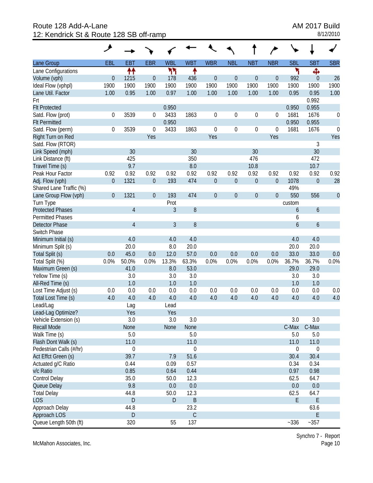Route 128 Add-A-Lane **AM 2017 Build** 12: Kendrick St & Route 128 SB off-ramp 8/12/2010

|                         | حر               |                |                  |                |             |                  |                  |                  |                  |                  |                  |                  |
|-------------------------|------------------|----------------|------------------|----------------|-------------|------------------|------------------|------------------|------------------|------------------|------------------|------------------|
| Lane Group              | EBL              | <b>EBT</b>     | <b>EBR</b>       | <b>WBL</b>     | <b>WBT</b>  | <b>WBR</b>       | <b>NBL</b>       | <b>NBT</b>       | <b>NBR</b>       | <b>SBL</b>       | <b>SBT</b>       | <b>SBR</b>       |
| Lane Configurations     |                  | ↟↟             |                  | ካካ             | ↟           |                  |                  |                  |                  | ۲                | Ф                |                  |
| Volume (vph)            | $\boldsymbol{0}$ | 1215           | $\mathbf 0$      | 178            | 436         | $\boldsymbol{0}$ | $\boldsymbol{0}$ | $\boldsymbol{0}$ | $\boldsymbol{0}$ | 992              | $\theta$         | 26               |
| Ideal Flow (vphpl)      | 1900             | 1900           | 1900             | 1900           | 1900        | 1900             | 1900             | 1900             | 1900             | 1900             | 1900             | 1900             |
| Lane Util. Factor       | 1.00             | 0.95           | 1.00             | 0.97           | 1.00        | 1.00             | 1.00             | 1.00             | 1.00             | 0.95             | 0.95             | 1.00             |
| Frt                     |                  |                |                  |                |             |                  |                  |                  |                  |                  | 0.992            |                  |
| <b>Flt Protected</b>    |                  |                |                  | 0.950          |             |                  |                  |                  |                  | 0.950            | 0.955            |                  |
| Satd. Flow (prot)       | $\boldsymbol{0}$ | 3539           | 0                | 3433           | 1863        | $\boldsymbol{0}$ | $\mathbf 0$      | 0                | $\boldsymbol{0}$ | 1681             | 1676             | $\boldsymbol{0}$ |
| <b>Flt Permitted</b>    |                  |                |                  | 0.950          |             |                  |                  |                  |                  | 0.950            | 0.955            |                  |
| Satd. Flow (perm)       | 0                | 3539           | 0                | 3433           | 1863        | $\boldsymbol{0}$ | $\mathbf 0$      | 0                | $\boldsymbol{0}$ | 1681             | 1676             | $\boldsymbol{0}$ |
| Right Turn on Red       |                  |                | Yes              |                |             | Yes              |                  |                  | Yes              |                  |                  | Yes              |
| Satd. Flow (RTOR)       |                  |                |                  |                |             |                  |                  |                  |                  |                  | 3                |                  |
| Link Speed (mph)        |                  | 30             |                  |                | 30          |                  |                  | 30               |                  |                  | 30               |                  |
| Link Distance (ft)      |                  | 425            |                  |                | 350         |                  |                  | 476              |                  |                  | 472              |                  |
| Travel Time (s)         |                  | 9.7            |                  |                | 8.0         |                  |                  | 10.8             |                  |                  | 10.7             |                  |
| Peak Hour Factor        | 0.92             | 0.92           | 0.92             | 0.92           | 0.92        | 0.92             | 0.92             | 0.92             | 0.92             | 0.92             | 0.92             | 0.92             |
| Adj. Flow (vph)         | $\boldsymbol{0}$ | 1321           | $\boldsymbol{0}$ | 193            | 474         | $\boldsymbol{0}$ | $\boldsymbol{0}$ | $\boldsymbol{0}$ | $\boldsymbol{0}$ | 1078             | $\boldsymbol{0}$ | 28               |
| Shared Lane Traffic (%) |                  |                |                  |                |             |                  |                  |                  |                  | 49%              |                  |                  |
| Lane Group Flow (vph)   | $\boldsymbol{0}$ | 1321           | $\overline{0}$   | 193            | 474         | $\theta$         | $\boldsymbol{0}$ | $\mathbf 0$      | $\boldsymbol{0}$ | 550              | 556              | $\overline{0}$   |
| Turn Type               |                  |                |                  | Prot           |             |                  |                  |                  |                  | custom           |                  |                  |
| <b>Protected Phases</b> |                  | $\overline{4}$ |                  | $\mathfrak{Z}$ | 8           |                  |                  |                  |                  | 6                | $\boldsymbol{6}$ |                  |
| <b>Permitted Phases</b> |                  |                |                  |                |             |                  |                  |                  |                  | 6                |                  |                  |
| <b>Detector Phase</b>   |                  | $\overline{4}$ |                  | 3              | 8           |                  |                  |                  |                  | 6                | $\boldsymbol{6}$ |                  |
| Switch Phase            |                  |                |                  |                |             |                  |                  |                  |                  |                  |                  |                  |
| Minimum Initial (s)     |                  | 4.0            |                  | 4.0            | 4.0         |                  |                  |                  |                  | 4.0              | 4.0              |                  |
| Minimum Split (s)       |                  | 20.0           |                  | 8.0            | 20.0        |                  |                  |                  |                  | 20.0             | 20.0             |                  |
| Total Split (s)         | 0.0              | 45.0           | 0.0              | 12.0           | 57.0        | 0.0              | 0.0              | 0.0              | 0.0              | 33.0             | 33.0             | 0.0              |
| Total Split (%)         | 0.0%             | 50.0%          | 0.0%             | 13.3%          | 63.3%       | 0.0%             | 0.0%             | 0.0%             | 0.0%             | 36.7%            | 36.7%            | 0.0%             |
| Maximum Green (s)       |                  | 41.0           |                  | 8.0            | 53.0        |                  |                  |                  |                  | 29.0             | 29.0             |                  |
| Yellow Time (s)         |                  | 3.0            |                  | 3.0            | 3.0         |                  |                  |                  |                  | 3.0              | 3.0              |                  |
| All-Red Time (s)        |                  | 1.0            |                  | 1.0            | 1.0         |                  |                  |                  |                  | 1.0              | 1.0              |                  |
| Lost Time Adjust (s)    | 0.0              | 0.0            | 0.0              | 0.0            | 0.0         | 0.0              | 0.0              | 0.0              | 0.0              | 0.0              | 0.0              | 0.0              |
| Total Lost Time (s)     | 4.0              | 4.0            | 4.0              | 4.0            | 4.0         | 4.0              | 4.0              | 4.0              | 4.0              | 4.0              | 4.0              | 4.0              |
| Lead/Lag                |                  | Lag            |                  | Lead           |             |                  |                  |                  |                  |                  |                  |                  |
| Lead-Lag Optimize?      |                  | Yes            |                  | Yes            |             |                  |                  |                  |                  |                  |                  |                  |
| Vehicle Extension (s)   |                  | 3.0            |                  | 3.0            | 3.0         |                  |                  |                  |                  | 3.0              | 3.0              |                  |
| <b>Recall Mode</b>      |                  | None           |                  | None           | None        |                  |                  |                  |                  | C-Max            | C-Max            |                  |
| Walk Time (s)           |                  | 5.0            |                  |                | 5.0         |                  |                  |                  |                  | 5.0              | 5.0              |                  |
| Flash Dont Walk (s)     |                  | 11.0           |                  |                | 11.0        |                  |                  |                  |                  | 11.0             | 11.0             |                  |
| Pedestrian Calls (#/hr) |                  | $\mathbf 0$    |                  |                | 0           |                  |                  |                  |                  | $\boldsymbol{0}$ | $\boldsymbol{0}$ |                  |
| Act Effct Green (s)     |                  | 39.7           |                  | 7.9            | 51.6        |                  |                  |                  |                  | 30.4             | 30.4             |                  |
| Actuated g/C Ratio      |                  | 0.44           |                  | 0.09           | 0.57        |                  |                  |                  |                  | 0.34             | 0.34             |                  |
| v/c Ratio               |                  | 0.85           |                  | 0.64           | 0.44        |                  |                  |                  |                  | 0.97             | 0.98             |                  |
| Control Delay           |                  | 35.0           |                  | 50.0           | 12.3        |                  |                  |                  |                  | 62.5             | 64.7             |                  |
| Queue Delay             |                  | 9.8            |                  | 0.0            | 0.0         |                  |                  |                  |                  | 0.0              | 0.0              |                  |
| <b>Total Delay</b>      |                  | 44.8           |                  | 50.0           | 12.3        |                  |                  |                  |                  | 62.5             | 64.7             |                  |
| <b>LOS</b>              |                  | D              |                  | $\mathsf D$    | $\sf B$     |                  |                  |                  |                  | E                | E                |                  |
| Approach Delay          |                  | 44.8           |                  |                | 23.2        |                  |                  |                  |                  |                  | 63.6             |                  |
| Approach LOS            |                  | D              |                  |                | $\mathsf C$ |                  |                  |                  |                  |                  | E                |                  |
| Queue Length 50th (ft)  |                  | 320            |                  | 55             | 137         |                  |                  |                  |                  | $-336$           | $-357$           |                  |

McMahon Associates, Inc.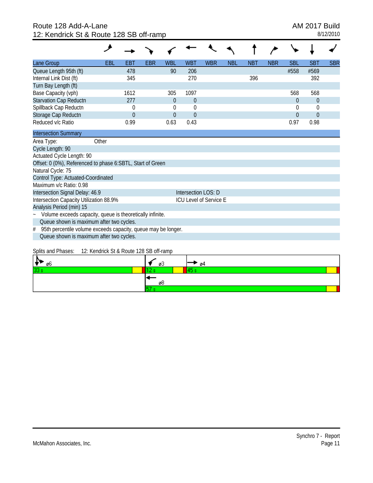### Route 128 Add-A-Lane **AM 2017 Build** 12: Kendrick St & Route 128 SB off-ramp 8/12/2010

| Lane Group                                                                             | EBL   | EBT      | EBR | <b>WBL</b> | <b>WBT</b>          | <b>WBR</b>                    | <b>NBL</b> | <b>NBT</b> | <b>NBR</b> | <b>SBL</b> | <b>SBT</b>     | <b>SBR</b> |
|----------------------------------------------------------------------------------------|-------|----------|-----|------------|---------------------|-------------------------------|------------|------------|------------|------------|----------------|------------|
| Queue Length 95th (ft)                                                                 |       | 478      |     | 90         | 206                 |                               |            |            |            | #558       | #569           |            |
| Internal Link Dist (ft)                                                                |       | 345      |     |            | 270                 |                               |            | 396        |            |            | 392            |            |
| Turn Bay Length (ft)                                                                   |       |          |     |            |                     |                               |            |            |            |            |                |            |
| Base Capacity (vph)                                                                    |       | 1612     |     | 305        | 1097                |                               |            |            |            | 568        | 568            |            |
| Starvation Cap Reductn                                                                 |       | 277      |     | $\Omega$   | $\Omega$            |                               |            |            |            | $\theta$   | $\overline{0}$ |            |
| Spillback Cap Reductn                                                                  |       | 0        |     | 0          | $\theta$            |                               |            |            |            | $\theta$   | 0              |            |
| Storage Cap Reductn                                                                    |       | $\Omega$ |     | $\Omega$   | $\Omega$            |                               |            |            |            | $\Omega$   | $\Omega$       |            |
| Reduced v/c Ratio                                                                      |       | 0.99     |     | 0.63       | 0.43                |                               |            |            |            | 0.97       | 0.98           |            |
| <b>Intersection Summary</b>                                                            |       |          |     |            |                     |                               |            |            |            |            |                |            |
| Area Type:                                                                             | Other |          |     |            |                     |                               |            |            |            |            |                |            |
| Cycle Length: 90                                                                       |       |          |     |            |                     |                               |            |            |            |            |                |            |
| Actuated Cycle Length: 90                                                              |       |          |     |            |                     |                               |            |            |            |            |                |            |
| Offset: 0 (0%), Referenced to phase 6:SBTL, Start of Green                             |       |          |     |            |                     |                               |            |            |            |            |                |            |
| Natural Cycle: 75                                                                      |       |          |     |            |                     |                               |            |            |            |            |                |            |
| Control Type: Actuated-Coordinated                                                     |       |          |     |            |                     |                               |            |            |            |            |                |            |
| Maximum v/c Ratio: 0.98                                                                |       |          |     |            |                     |                               |            |            |            |            |                |            |
| Intersection Signal Delay: 46.9                                                        |       |          |     |            | Intersection LOS: D |                               |            |            |            |            |                |            |
| Intersection Capacity Utilization 88.9%                                                |       |          |     |            |                     | <b>ICU Level of Service E</b> |            |            |            |            |                |            |
| Analysis Period (min) 15                                                               |       |          |     |            |                     |                               |            |            |            |            |                |            |
| Volume exceeds capacity, queue is theoretically infinite.<br>$\widetilde{\phantom{m}}$ |       |          |     |            |                     |                               |            |            |            |            |                |            |
| Queue shown is maximum after two cycles.                                               |       |          |     |            |                     |                               |            |            |            |            |                |            |
| 95th percentile volume exceeds capacity, queue may be longer.<br>#                     |       |          |     |            |                     |                               |            |            |            |            |                |            |
| Queue shown is maximum after two cycles.                                               |       |          |     |            |                     |                               |            |            |            |            |                |            |
|                                                                                        |       |          |     |            |                     |                               |            |            |            |            |                |            |

#### Splits and Phases: 12: Kendrick St & Route 128 SB off-ramp

| øБ         | ØJ | Ø4 |
|------------|----|----|
| 122<br>ں ب |    |    |
|            | Øč |    |
|            |    |    |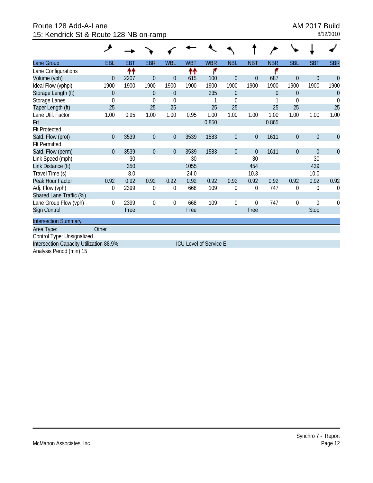Route 128 Add-A-Lane **AM 2017 Build** 15: Kendrick St & Route 128 NB on-ramp 8/12/2010

| Lane Group                              | EBL            | <b>EBT</b> | <b>EBR</b>     | <b>WBL</b>       | <b>WBT</b> | <b>WBR</b>                    | <b>NBL</b>       | <b>NBT</b>       | <b>NBR</b>     | <b>SBL</b>       | <b>SBT</b>     | <b>SBR</b>     |
|-----------------------------------------|----------------|------------|----------------|------------------|------------|-------------------------------|------------------|------------------|----------------|------------------|----------------|----------------|
| Lane Configurations                     |                | ↟↟         |                |                  | ↟↟         | ۴                             |                  |                  |                |                  |                |                |
| Volume (vph)                            | $\overline{0}$ | 2207       | $\theta$       | $\theta$         | 615        | 100                           | $\theta$         | $\boldsymbol{0}$ | 687            | $\theta$         | $\overline{0}$ | $\overline{0}$ |
| Ideal Flow (vphpl)                      | 1900           | 1900       | 1900           | 1900             | 1900       | 1900                          | 1900             | 1900             | 1900           | 1900             | 1900           | 1900           |
| Storage Length (ft)                     | $\theta$       |            | $\theta$       | $\overline{0}$   |            | 235                           | $\overline{0}$   |                  | $\overline{0}$ | $\theta$         |                | $\mathbf 0$    |
| Storage Lanes                           | $\theta$       |            | $\Omega$       | $\overline{0}$   |            |                               | $\theta$         |                  |                | 0                |                | $\theta$       |
| Taper Length (ft)                       | 25             |            | 25             | 25               |            | 25                            | 25               |                  | 25             | 25               |                | 25             |
| Lane Util. Factor                       | 1.00           | 0.95       | 1.00           | 1.00             | 0.95       | 1.00                          | 1.00             | 1.00             | 1.00           | 1.00             | 1.00           | 1.00           |
| Frt                                     |                |            |                |                  |            | 0.850                         |                  |                  | 0.865          |                  |                |                |
| <b>Flt Protected</b>                    |                |            |                |                  |            |                               |                  |                  |                |                  |                |                |
| Satd. Flow (prot)                       | $\mathbf{0}$   | 3539       | $\overline{0}$ | $\boldsymbol{0}$ | 3539       | 1583                          | $\boldsymbol{0}$ | $\boldsymbol{0}$ | 1611           | $\boldsymbol{0}$ | $\overline{0}$ | $\overline{0}$ |
| <b>FIt Permitted</b>                    |                |            |                |                  |            |                               |                  |                  |                |                  |                |                |
| Satd. Flow (perm)                       | $\theta$       | 3539       | $\overline{0}$ | $\boldsymbol{0}$ | 3539       | 1583                          | $\mathbf 0$      | $\boldsymbol{0}$ | 1611           | $\mathbf 0$      | $\mathbf{0}$   | $\overline{0}$ |
| Link Speed (mph)                        |                | 30         |                |                  | 30         |                               |                  | 30               |                |                  | 30             |                |
| Link Distance (ft)                      |                | 350        |                |                  | 1055       |                               |                  | 454              |                |                  | 439            |                |
| Travel Time (s)                         |                | 8.0        |                |                  | 24.0       |                               |                  | 10.3             |                |                  | 10.0           |                |
| Peak Hour Factor                        | 0.92           | 0.92       | 0.92           | 0.92             | 0.92       | 0.92                          | 0.92             | 0.92             | 0.92           | 0.92             | 0.92           | 0.92           |
| Adj. Flow (vph)                         | $\mathbf 0$    | 2399       | $\overline{0}$ | $\mathbf 0$      | 668        | 109                           | $\mathbf 0$      | 0                | 747            | 0                | 0              | $\theta$       |
| Shared Lane Traffic (%)                 |                |            |                |                  |            |                               |                  |                  |                |                  |                |                |
| Lane Group Flow (vph)                   | 0              | 2399       | $\theta$       | 0                | 668        | 109                           | 0                | 0                | 747            | 0                | $\theta$       | 0              |
| Sign Control                            |                | Free       |                |                  | Free       |                               |                  | Free             |                |                  | Stop           |                |
| <b>Intersection Summary</b>             |                |            |                |                  |            |                               |                  |                  |                |                  |                |                |
| Area Type:                              | Other          |            |                |                  |            |                               |                  |                  |                |                  |                |                |
| Control Type: Unsignalized              |                |            |                |                  |            |                               |                  |                  |                |                  |                |                |
| Intersection Capacity Utilization 88.9% |                |            |                |                  |            | <b>ICU Level of Service E</b> |                  |                  |                |                  |                |                |
| Analysis Period (min) 15                |                |            |                |                  |            |                               |                  |                  |                |                  |                |                |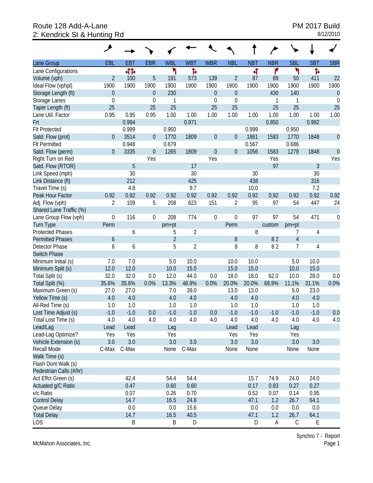# Route 128 Add-A-Lane<br>
2: Kendrick St & Hunting Rd<br>
2: Kendrick St & Hunting Rd 2: Kendrick St & Hunting Rd

| Lane Group              | EBL              | <b>EBT</b> | <b>EBR</b>       | <b>WBL</b>     | <b>WBT</b>     | <b>WBR</b>       | <b>NBL</b>       | <b>NBT</b> | <b>NBR</b> | <b>SBL</b>     | <b>SBT</b> | <b>SBR</b>     |
|-------------------------|------------------|------------|------------------|----------------|----------------|------------------|------------------|------------|------------|----------------|------------|----------------|
| Lane Configurations     |                  | 41         |                  | ۲              | Ъ              |                  |                  | बी         | ۴          | ۲              | Ъ          |                |
| Volume (vph)            | $\overline{2}$   | 100        | 5                | 191            | 573            | 139              | $\overline{2}$   | 87         | 89         | 50             | 411        | 22             |
| Ideal Flow (vphpl)      | 1900             | 1900       | 1900             | 1900           | 1900           | 1900             | 1900             | 1900       | 1900       | 1900           | 1900       | 1900           |
| Storage Length (ft)     | $\theta$         |            | $\theta$         | 230            |                | $\mathbf 0$      | $\theta$         |            | 430        | 140            |            | $\theta$       |
| Storage Lanes           | $\mathbf 0$      |            | $\mathbf 0$      | 1              |                | $\boldsymbol{0}$ | $\mathbf 0$      |            | 1          | 1              |            | $\mathbf 0$    |
| Taper Length (ft)       | 25               |            | 25               | 25             |                | 25               | 25               |            | 25         | 25             |            | 25             |
| Lane Util. Factor       | 0.95             | 0.95       | 0.95             | 1.00           | 1.00           | 1.00             | 1.00             | 1.00       | 1.00       | 1.00           | 1.00       | 1.00           |
| Frt                     |                  | 0.994      |                  |                | 0.971          |                  |                  |            | 0.850      |                | 0.992      |                |
| <b>Flt Protected</b>    |                  | 0.999      |                  | 0.950          |                |                  |                  | 0.999      |            | 0.950          |            |                |
| Satd. Flow (prot)       | $\mathbf{0}$     | 3514       | $\theta$         | 1770           | 1809           | $\mathbf 0$      | $\boldsymbol{0}$ | 1861       | 1583       | 1770           | 1848       | $\overline{0}$ |
| <b>Flt Permitted</b>    |                  | 0.948      |                  | 0.679          |                |                  |                  | 0.567      |            | 0.686          |            |                |
| Satd. Flow (perm)       | $\mathbf{0}$     | 3335       | $\overline{0}$   | 1265           | 1809           | $\mathbf{0}$     | $\theta$         | 1056       | 1583       | 1278           | 1848       | $\mathbf{0}$   |
| Right Turn on Red       |                  |            | Yes              |                |                | Yes              |                  |            | Yes        |                |            | Yes            |
| Satd. Flow (RTOR)       |                  | 5          |                  |                | 17             |                  |                  |            | 97         |                | 3          |                |
| Link Speed (mph)        |                  | 30         |                  |                | 30             |                  |                  | 30         |            |                | 30         |                |
| Link Distance (ft)      |                  | 212        |                  |                | 425            |                  |                  | 438        |            |                | 316        |                |
| Travel Time (s)         |                  | 4.8        |                  |                | 9.7            |                  |                  | 10.0       |            |                | 7.2        |                |
| Peak Hour Factor        | 0.92             | 0.92       | 0.92             | 0.92           | 0.92           | 0.92             | 0.92             | 0.92       | 0.92       | 0.92           | 0.92       | 0.92           |
| Adj. Flow (vph)         | $\overline{2}$   | 109        | 5                | 208            | 623            | 151              | $\overline{2}$   | 95         | 97         | 54             | 447        | 24             |
| Shared Lane Traffic (%) |                  |            |                  |                |                |                  |                  |            |            |                |            |                |
| Lane Group Flow (vph)   | $\mathbf 0$      | 116        | $\boldsymbol{0}$ | 208            | 774            | $\mathbf 0$      | $\mathbf 0$      | 97         | 97         | 54             | 471        | 0              |
| <b>Turn Type</b>        | Perm             |            |                  | pm+pt          |                |                  | Perm             |            | custom     | pm+pt          |            |                |
| <b>Protected Phases</b> |                  | 6          |                  | 5              | $\overline{2}$ |                  |                  | 8          |            | 7              | 4          |                |
| <b>Permitted Phases</b> | $\boldsymbol{6}$ |            |                  | $\overline{2}$ |                |                  | $\, 8$           |            | 82         | $\overline{4}$ |            |                |
| Detector Phase          | 6                | 6          |                  | 5              | $\overline{2}$ |                  | 8                | 8          | 82         | 7              | 4          |                |
| <b>Switch Phase</b>     |                  |            |                  |                |                |                  |                  |            |            |                |            |                |
| Minimum Initial (s)     | 7.0              | 7.0        |                  | 5.0            | 10.0           |                  | 10.0             | 10.0       |            | 5.0            | 10.0       |                |
| Minimum Split (s)       | 12.0             | 12.0       |                  | 10.0           | 15.0           |                  | 15.0             | 15.0       |            | 10.0           | 15.0       |                |
| Total Split (s)         | 32.0             | 32.0       | 0.0              | 12.0           | 44.0           | 0.0              | 18.0             | 18.0       | 62.0       | 10.0           | 28.0       | 0.0            |
| Total Split (%)         | 35.6%            | 35.6%      | 0.0%             | 13.3%          | 48.9%          | 0.0%             | 20.0%            | 20.0%      | 68.9%      | 11.1%          | 31.1%      | 0.0%           |
| Maximum Green (s)       | 27.0             | 27.0       |                  | 7.0            | 39.0           |                  | 13.0             | 13.0       |            | 5.0            | 23.0       |                |
| Yellow Time (s)         | 4.0              | 4.0        |                  | 4.0            | 4.0            |                  | 4.0              | 4.0        |            | 4.0            | 4.0        |                |
| All-Red Time (s)        | 1.0              | 1.0        |                  | 1.0            | 1.0            |                  | 1.0              | 1.0        |            | 1.0            | 1.0        |                |
| Lost Time Adjust (s)    | $-1.0$           | $-1.0$     | 0.0              | $-1.0$         | $-1.0$         | 0.0              | $-1.0$           | $-1.0$     | $-1.0$     | $-1.0$         | $-1.0$     | 0.0            |
| Total Lost Time (s)     | 4.0              | 4.0        | 4.0              | 4.0            | 4.0            | 4.0              | 4.0              | 4.0        | 4.0        | 4.0            | 4.0        | 4.0            |
| Lead/Lag                | Lead             | Lead       |                  | Lag            |                |                  | Lead             | Lead       |            | Lag            |            |                |
| Lead-Lag Optimize?      | Yes              | Yes        |                  | Yes            |                |                  | Yes              | Yes        |            | Yes            |            |                |
| Vehicle Extension (s)   | 3.0              | 3.0        |                  | 3.0            | 3.0            |                  | 3.0              | 3.0        |            | 3.0            | 3.0        |                |
| Recall Mode             | C-Max            | C-Max      |                  | None           | C-Max          |                  | None             | None       |            | None           | None       |                |
| Walk Time (s)           |                  |            |                  |                |                |                  |                  |            |            |                |            |                |
| Flash Dont Walk (s)     |                  |            |                  |                |                |                  |                  |            |            |                |            |                |
| Pedestrian Calls (#/hr) |                  |            |                  |                |                |                  |                  |            |            |                |            |                |
| Act Effct Green (s)     |                  | 42.4       |                  | 54.4           | 54.4           |                  |                  | 15.7       | 74.9       | 24.0           | 24.0       |                |
| Actuated g/C Ratio      |                  | 0.47       |                  | 0.60           | 0.60           |                  |                  | 0.17       | 0.83       | 0.27           | 0.27       |                |
| v/c Ratio               |                  | 0.07       |                  | 0.26           | 0.70           |                  |                  | 0.52       | 0.07       | 0.14           | 0.95       |                |
| <b>Control Delay</b>    |                  | 14.7       |                  | 16.5           | 24.8           |                  |                  | 47.1       | 1.2        | 26.7           | 64.1       |                |
| Queue Delay             |                  | 0.0        |                  | 0.0            | 15.6           |                  |                  | 0.0        | 0.0        | 0.0            | 0.0        |                |
| <b>Total Delay</b>      |                  | 14.7       |                  | 16.5           | 40.5           |                  |                  | 47.1       | 1.2        | 26.7           | 64.1       |                |
| <b>LOS</b>              |                  | B          |                  | B              | D              |                  |                  | D          | A          | $\mathsf C$    | Ε          |                |

McMahon Associates, Inc.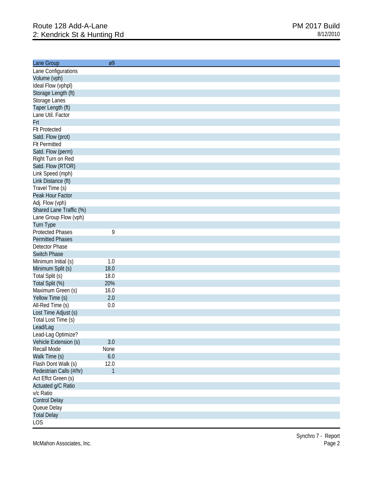| Lane Group                      | Ø9                   |  |
|---------------------------------|----------------------|--|
| Lane Configurations             |                      |  |
| Volume (vph)                    |                      |  |
| Ideal Flow (vphpl)              |                      |  |
| Storage Length (ft)             |                      |  |
| Storage Lanes                   |                      |  |
| Taper Length (ft)               |                      |  |
| Lane Util. Factor               |                      |  |
| Frt                             |                      |  |
| <b>Flt Protected</b>            |                      |  |
| Satd. Flow (prot)               |                      |  |
| <b>Flt Permitted</b>            |                      |  |
| Satd. Flow (perm)               |                      |  |
| Right Turn on Red               |                      |  |
| Satd. Flow (RTOR)               |                      |  |
| Link Speed (mph)                |                      |  |
| Link Distance (ft)              |                      |  |
| Travel Time (s)                 |                      |  |
| Peak Hour Factor                |                      |  |
| Adj. Flow (vph)                 |                      |  |
| Shared Lane Traffic (%)         |                      |  |
| Lane Group Flow (vph)           |                      |  |
| Turn Type                       |                      |  |
| <b>Protected Phases</b>         | 9                    |  |
| <b>Permitted Phases</b>         |                      |  |
| Detector Phase                  |                      |  |
| <b>Switch Phase</b>             |                      |  |
| Minimum Initial (s)             | 1.0                  |  |
| Minimum Split (s)               | 18.0                 |  |
| Total Split (s)                 | 18.0                 |  |
| Total Split (%)                 | 20%                  |  |
| Maximum Green (s)               | 16.0                 |  |
| Yellow Time (s)                 | 2.0                  |  |
| All-Red Time (s)                | 0.0                  |  |
| Lost Time Adjust (s)            |                      |  |
| Total Lost Time (s)             |                      |  |
| Lead/Lag                        |                      |  |
| Lead-Lag Optimize?              |                      |  |
| Vehicle Extension (s)           | 3.0                  |  |
| Recall Mode                     | None                 |  |
| Walk Time (s)                   | $6.0\,$              |  |
| Flash Dont Walk (s)             |                      |  |
|                                 | 12.0<br>$\mathbf{1}$ |  |
| Pedestrian Calls (#/hr)         |                      |  |
| Act Effct Green (s)             |                      |  |
| Actuated g/C Ratio<br>v/c Ratio |                      |  |
|                                 |                      |  |
| <b>Control Delay</b>            |                      |  |
| Queue Delay                     |                      |  |
| <b>Total Delay</b>              |                      |  |
| <b>LOS</b>                      |                      |  |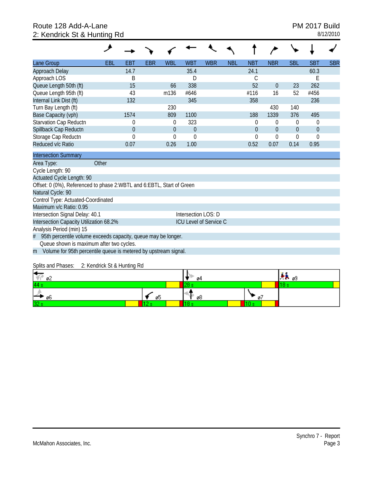# Route 128 Add-A-Lane **PM 2017 Build** 2: Kendrick St & Hunting Rd 8/12/2010

| Lane Group                                                            | EBL | EBT          | <b>EBR</b> | <b>WBL</b>     | <b>WBT</b>                    | <b>WBR</b> | <b>NBL</b> | <b>NBT</b>     | <b>NBR</b>     | <b>SBL</b>     | <b>SBT</b>     | <b>SBR</b> |
|-----------------------------------------------------------------------|-----|--------------|------------|----------------|-------------------------------|------------|------------|----------------|----------------|----------------|----------------|------------|
| Approach Delay                                                        |     | 14.7         |            |                | 35.4                          |            |            | 24.1           |                |                | 60.3           |            |
| Approach LOS                                                          |     | В            |            |                | D                             |            |            | C              |                |                | Е              |            |
| Queue Length 50th (ft)                                                |     | 15           |            | 66             | 338                           |            |            | 52             | $\theta$       | 23             | 262            |            |
| Queue Length 95th (ft)                                                |     | 43           |            | m136           | #646                          |            |            | #116           | 16             | 52             | #456           |            |
| Internal Link Dist (ft)                                               |     | 132          |            |                | 345                           |            |            | 358            |                |                | 236            |            |
| Turn Bay Length (ft)                                                  |     |              |            | 230            |                               |            |            |                | 430            | 140            |                |            |
| Base Capacity (vph)                                                   |     | 1574         |            | 809            | 1100                          |            |            | 188            | 1339           | 376            | 495            |            |
| Starvation Cap Reductn                                                |     | $\Omega$     |            | 0              | 323                           |            |            | 0              | $\theta$       | 0              | $\theta$       |            |
| Spillback Cap Reductn                                                 |     | $\mathbf{0}$ |            | $\overline{0}$ | $\overline{0}$                |            |            | $\overline{0}$ | $\overline{0}$ | $\overline{0}$ | $\overline{0}$ |            |
| Storage Cap Reductn                                                   |     | $\Omega$     |            | 0              | $\Omega$                      |            |            | $\theta$       | $\theta$       | $\theta$       | $\Omega$       |            |
| Reduced v/c Ratio                                                     |     | 0.07         |            | 0.26           | 1.00                          |            |            | 0.52           | 0.07           | 0.14           | 0.95           |            |
| <b>Intersection Summary</b>                                           |     |              |            |                |                               |            |            |                |                |                |                |            |
| Other<br>Area Type:                                                   |     |              |            |                |                               |            |            |                |                |                |                |            |
| Cycle Length: 90                                                      |     |              |            |                |                               |            |            |                |                |                |                |            |
| Actuated Cycle Length: 90                                             |     |              |            |                |                               |            |            |                |                |                |                |            |
| Offset: 0 (0%), Referenced to phase 2:WBTL and 6:EBTL, Start of Green |     |              |            |                |                               |            |            |                |                |                |                |            |
| Natural Cycle: 90                                                     |     |              |            |                |                               |            |            |                |                |                |                |            |
| Control Type: Actuated-Coordinated                                    |     |              |            |                |                               |            |            |                |                |                |                |            |
| Maximum v/c Ratio: 0.95                                               |     |              |            |                |                               |            |            |                |                |                |                |            |
| Intersection Signal Delay: 40.1                                       |     |              |            |                | Intersection LOS: D           |            |            |                |                |                |                |            |
| Intersection Capacity Utilization 68.2%                               |     |              |            |                | <b>ICU Level of Service C</b> |            |            |                |                |                |                |            |
| Analysis Period (min) 15                                              |     |              |            |                |                               |            |            |                |                |                |                |            |
| 95th percentile volume exceeds capacity, queue may be longer.<br>#    |     |              |            |                |                               |            |            |                |                |                |                |            |
| Queue shown is maximum after two cycles.                              |     |              |            |                |                               |            |            |                |                |                |                |            |
| Volume for 95th percentile queue is metered by upstream signal.<br>m  |     |              |            |                |                               |            |            |                |                |                |                |            |

Splits and Phases: 2: Kendrick St & Hunting Rd

| н.<br>ø2               |    | о4 |   | P 09 L |  |
|------------------------|----|----|---|--------|--|
| 44 s                   |    |    |   |        |  |
| --<br>$\rightarrow$ 06 | ø5 | ø8 | ø |        |  |
| 32s                    |    |    |   |        |  |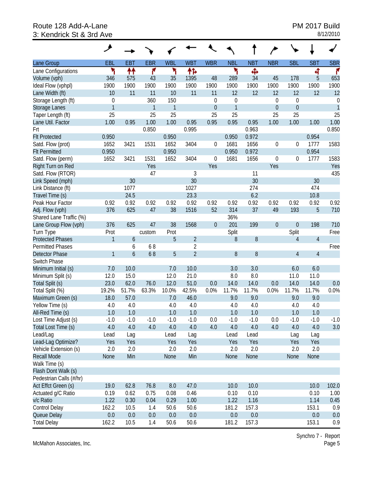# Route 128 Add-A-Lane **Route 128 Add-A-Lane** PM 2017 Build 3: Kendrick St & 3rd Ave 3: Kendrick St & 3rd Ave

|                         | عر           |            |              |            |                |                  |                  |            |                  |                  |                |                  |
|-------------------------|--------------|------------|--------------|------------|----------------|------------------|------------------|------------|------------------|------------------|----------------|------------------|
| Lane Group              | EBL          | <b>EBT</b> | <b>EBR</b>   | <b>WBL</b> | <b>WBT</b>     | <b>WBR</b>       | <b>NBL</b>       | <b>NBT</b> | <b>NBR</b>       | <b>SBL</b>       | <b>SBT</b>     | <b>SBR</b>       |
| Lane Configurations     | ٦            | 11         | ۴            | ۲          | ተኈ             |                  | ۲                | Ф          |                  |                  | 4              | ۴                |
| Volume (vph)            | 346          | 575        | 43           | 35         | 1395           | 48               | 289              | 34         | 45               | 178              | 5              | 653              |
| Ideal Flow (vphpl)      | 1900         | 1900       | 1900         | 1900       | 1900           | 1900             | 1900             | 1900       | 1900             | 1900             | 1900           | 1900             |
| Lane Width (ft)         | 10           | 11         | 11           | 10         | 11             | 11               | 12               | 12         | 12               | 12               | 12             | 12               |
| Storage Length (ft)     | $\mathbf 0$  |            | 360          | 150        |                | $\mathbf 0$      | $\boldsymbol{0}$ |            | $\theta$         | $\boldsymbol{0}$ |                | $\boldsymbol{0}$ |
| Storage Lanes           | $\mathbf{1}$ |            | $\mathbf{1}$ | 1          |                | $\mathbf 0$      | $\mathbf{1}$     |            | $\theta$         | $\theta$         |                | $\mathbf{1}$     |
| Taper Length (ft)       | 25           |            | 25           | 25         |                | 25               | 25               |            | 25               | 25               |                | 25               |
| Lane Util. Factor       | 1.00         | 0.95       | 1.00         | 1.00       | 0.95           | 0.95             | 0.95             | 0.95       | 1.00             | 1.00             | 1.00           | 1.00             |
| Frt                     |              |            | 0.850        |            | 0.995          |                  |                  | 0.963      |                  |                  |                | 0.850            |
| <b>Flt Protected</b>    | 0.950        |            |              | 0.950      |                |                  | 0.950            | 0.972      |                  |                  | 0.954          |                  |
| Satd. Flow (prot)       | 1652         | 3421       | 1531         | 1652       | 3404           | 0                | 1681             | 1656       | $\boldsymbol{0}$ | 0                | 1777           | 1583             |
| <b>Flt Permitted</b>    | 0.950        |            |              | 0.950      |                |                  | 0.950            | 0.972      |                  |                  | 0.954          |                  |
| Satd. Flow (perm)       | 1652         | 3421       | 1531         | 1652       | 3404           | $\boldsymbol{0}$ | 1681             | 1656       | $\boldsymbol{0}$ | 0                | 1777           | 1583             |
| Right Turn on Red       |              |            | Yes          |            |                | Yes              |                  |            | Yes              |                  |                | Yes              |
| Satd. Flow (RTOR)       |              |            | 47           |            | 3              |                  |                  | 11         |                  |                  |                | 435              |
| Link Speed (mph)        |              | 30         |              |            | 30             |                  |                  | 30         |                  |                  | 30             |                  |
| Link Distance (ft)      |              | 1077       |              |            | 1027           |                  |                  | 274        |                  |                  | 474            |                  |
| Travel Time (s)         |              | 24.5       |              |            | 23.3           |                  |                  | 6.2        |                  |                  | 10.8           |                  |
| Peak Hour Factor        | 0.92         | 0.92       | 0.92         | 0.92       | 0.92           | 0.92             | 0.92             | 0.92       | 0.92             | 0.92             | 0.92           | 0.92             |
| Adj. Flow (vph)         | 376          | 625        | 47           | 38         | 1516           | 52               | 314              | 37         | 49               | 193              | 5              | 710              |
| Shared Lane Traffic (%) |              |            |              |            |                |                  | 36%              |            |                  |                  |                |                  |
| Lane Group Flow (vph)   | 376          | 625        | 47           | 38         | 1568           | $\boldsymbol{0}$ | 201              | 199        | $\boldsymbol{0}$ | $\boldsymbol{0}$ | 198            | 710              |
| Turn Type               | Prot         |            | custom       | Prot       |                |                  | Split            |            |                  | Split            |                | Free             |
| <b>Protected Phases</b> | $\mathbf{1}$ | 6          |              | 5          | $\overline{2}$ |                  | 8                | 8          |                  | $\overline{4}$   | $\overline{4}$ |                  |
| <b>Permitted Phases</b> |              | 6          | 68           |            | 2              |                  |                  |            |                  |                  |                | Free             |
| <b>Detector Phase</b>   | $\mathbf{1}$ | 6          | 68           | 5          | $\overline{2}$ |                  | 8                | 8          |                  | $\overline{4}$   | $\overline{4}$ |                  |
| Switch Phase            |              |            |              |            |                |                  |                  |            |                  |                  |                |                  |
| Minimum Initial (s)     | 7.0          | 10.0       |              | 7.0        | 10.0           |                  | 3.0              | 3.0        |                  | 6.0              | 6.0            |                  |
| Minimum Split (s)       | 12.0         | 15.0       |              | 12.0       | 21.0           |                  | 8.0              | 8.0        |                  | 11.0             | 11.0           |                  |
| Total Split (s)         | 23.0         | 62.0       | 76.0         | 12.0       | 51.0           | 0.0              | 14.0             | 14.0       | 0.0              | 14.0             | 14.0           | 0.0              |
| Total Split (%)         | 19.2%        | 51.7%      | 63.3%        | 10.0%      | 42.5%          | 0.0%             | 11.7%            | 11.7%      | 0.0%             | 11.7%            | 11.7%          | 0.0%             |
| Maximum Green (s)       | 18.0         | 57.0       |              | 7.0        | 46.0           |                  | 9.0              | 9.0        |                  | 9.0              | 9.0            |                  |
| Yellow Time (s)         | 4.0          | 4.0        |              | 4.0        | 4.0            |                  | 4.0              | 4.0        |                  | 4.0              | 4.0            |                  |
| All-Red Time (s)        | 1.0          | 1.0        |              | 1.0        | 1.0            |                  | 1.0              | 1.0        |                  | 1.0              | 1.0            |                  |
| Lost Time Adjust (s)    | $-1.0$       | $-1.0$     | $-1.0$       | $-1.0$     | $-1.0$         | 0.0              | $-1.0$           | $-1.0$     | 0.0              | $-1.0$           | $-1.0$         | $-1.0$           |
| Total Lost Time (s)     | 4.0          | 4.0        | 4.0          | 4.0        | 4.0            | 4.0              | 4.0              | 4.0        | 4.0              | 4.0              | 4.0            | 3.0              |
| Lead/Lag                | Lead         | Lag        |              | Lead       | Lag            |                  | Lead             | Lead       |                  | Lag              | Lag            |                  |
| Lead-Lag Optimize?      | Yes          | Yes        |              | Yes        | Yes            |                  | Yes              | Yes        |                  | Yes              | Yes            |                  |
| Vehicle Extension (s)   | 2.0          | 2.0        |              | 2.0        | 2.0            |                  | 2.0              | 2.0        |                  | 2.0              | 2.0            |                  |
| <b>Recall Mode</b>      | None         | Min        |              | None       | Min            |                  | None             | None       |                  | None             | None           |                  |
| Walk Time (s)           |              |            |              |            |                |                  |                  |            |                  |                  |                |                  |
| Flash Dont Walk (s)     |              |            |              |            |                |                  |                  |            |                  |                  |                |                  |
| Pedestrian Calls (#/hr) |              |            |              |            |                |                  |                  |            |                  |                  |                |                  |
| Act Effct Green (s)     | 19.0         | 62.8       | 76.8         | 8.0        | 47.0           |                  | 10.0             | 10.0       |                  |                  | 10.0           | 102.0            |
| Actuated g/C Ratio      | 0.19         | 0.62       | 0.75         | 0.08       | 0.46           |                  | 0.10             | 0.10       |                  |                  | 0.10           | 1.00             |
| v/c Ratio               | 1.22         | 0.30       | 0.04         | 0.29       | 1.00           |                  | 1.22             | 1.16       |                  |                  | 1.14           | 0.45             |
| Control Delay           | 162.2        | 10.5       | 1.4          | 50.6       | 50.6           |                  | 181.2            | 157.3      |                  |                  | 153.1          | 0.9              |
| Queue Delay             | 0.0          | 0.0        | 0.0          | 0.0        | 0.0            |                  | 0.0              | 0.0        |                  |                  | 0.0            | 0.0              |
| <b>Total Delay</b>      | 162.2        | 10.5       | 1.4          | 50.6       | 50.6           |                  | 181.2            | 157.3      |                  |                  | 153.1          | 0.9              |

McMahon Associates, Inc.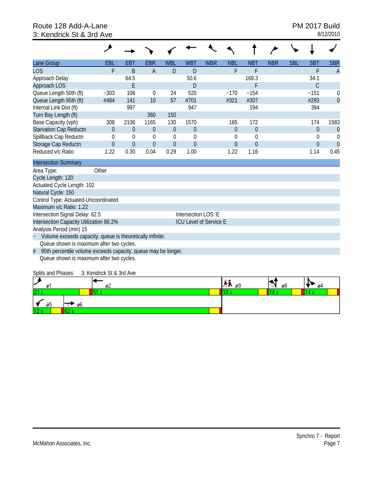# Route 128 Add-A-Lane **Route 128 Add-A-Lane** PM 2017 Build 3: Kendrick St & 3rd Ave 3: Kendrick St & 3rd Ave

| Lane Group                                                         | <b>EBL</b>               | <b>EBT</b>     | <b>EBR</b>     | <b>WBL</b>     | <b>WBT</b>                    | <b>WBR</b> | <b>NBL</b>     | <b>NBT</b>       | <b>NBR</b> | <b>SBL</b> | <b>SBT</b>    | <b>SBR</b>     |
|--------------------------------------------------------------------|--------------------------|----------------|----------------|----------------|-------------------------------|------------|----------------|------------------|------------|------------|---------------|----------------|
| <b>LOS</b>                                                         | F                        | B              | A              | D              | D                             |            | F              | F                |            |            | F             | $\overline{A}$ |
| Approach Delay                                                     |                          | 64.5           |                |                | 50.6                          |            |                | 169.3            |            |            | 34.1          |                |
| Approach LOS                                                       |                          | E              |                |                | D                             |            |                | F                |            |            | $\mathcal{C}$ |                |
| Queue Length 50th (ft)                                             | $-303$                   | 106            | $\mathbf 0$    | 24             | 520                           |            | $-170$         | ~154             |            |            | ~151          | $\overline{0}$ |
| Queue Length 95th (ft)                                             | #484                     | 141            | 10             | 57             | #701                          |            | #321           | #307             |            |            | #293          | $\overline{0}$ |
| Internal Link Dist (ft)                                            |                          | 997            |                |                | 947                           |            |                | 194              |            |            | 394           |                |
| Turn Bay Length (ft)                                               |                          |                | 360            | 150            |                               |            |                |                  |            |            |               |                |
| Base Capacity (vph)                                                | 308                      | 2106           | 1165           | 130            | 1570                          |            | 165            | 172              |            |            | 174           | 1583           |
| <b>Starvation Cap Reductn</b>                                      | $\Omega$                 | $\theta$       | $\theta$       | $\theta$       | $\overline{0}$                |            | $\theta$       | $\overline{0}$   |            |            | $\Omega$      | $\overline{0}$ |
| Spillback Cap Reductn                                              | 0                        | 0              | $\mathbf 0$    | $\mathbf 0$    | $\mathbf 0$                   |            | 0              | $\boldsymbol{0}$ |            |            | 0             | $\Omega$       |
| Storage Cap Reductn                                                | $\overline{0}$           | $\overline{0}$ | $\overline{0}$ | $\overline{0}$ | $\overline{0}$                |            | $\mathbf 0$    | $\overline{0}$   |            |            | $\Omega$      | $\theta$       |
| Reduced v/c Ratio                                                  | 1.22                     | 0.30           | 0.04           | 0.29           | 1.00                          |            | 1.22           | 1.16             |            |            | 1.14          | 0.45           |
| <b>Intersection Summary</b>                                        |                          |                |                |                |                               |            |                |                  |            |            |               |                |
| Area Type:                                                         | Other                    |                |                |                |                               |            |                |                  |            |            |               |                |
| Cycle Length: 120                                                  |                          |                |                |                |                               |            |                |                  |            |            |               |                |
| Actuated Cycle Length: 102                                         |                          |                |                |                |                               |            |                |                  |            |            |               |                |
| Natural Cycle: 150                                                 |                          |                |                |                |                               |            |                |                  |            |            |               |                |
| Control Type: Actuated-Uncoordinated                               |                          |                |                |                |                               |            |                |                  |            |            |               |                |
| Maximum v/c Ratio: 1.22                                            |                          |                |                |                |                               |            |                |                  |            |            |               |                |
| Intersection Signal Delay: 62.5                                    |                          |                |                |                | Intersection LOS: E           |            |                |                  |            |            |               |                |
| Intersection Capacity Utilization 86.2%                            |                          |                |                |                | <b>ICU Level of Service E</b> |            |                |                  |            |            |               |                |
| Analysis Period (min) 15                                           |                          |                |                |                |                               |            |                |                  |            |            |               |                |
| Volume exceeds capacity, queue is theoretically infinite.          |                          |                |                |                |                               |            |                |                  |            |            |               |                |
| Queue shown is maximum after two cycles.                           |                          |                |                |                |                               |            |                |                  |            |            |               |                |
| 95th percentile volume exceeds capacity, queue may be longer.<br># |                          |                |                |                |                               |            |                |                  |            |            |               |                |
| Queue shown is maximum after two cycles.                           |                          |                |                |                |                               |            |                |                  |            |            |               |                |
| Splits and Phases:                                                 | 3: Kendrick St & 3rd Ave |                |                |                |                               |            |                |                  |            |            |               |                |
|                                                                    |                          |                |                |                |                               |            | <b>Sec. 20</b> |                  | . A        |            | A             |                |

| س<br>øı   | ø۷ | . A 69 | øŏ | ø4 |
|-----------|----|--------|----|----|
| 23 s      |    |        |    |    |
| . .<br>ØD | Øb |        |    |    |
| 12s       |    |        |    |    |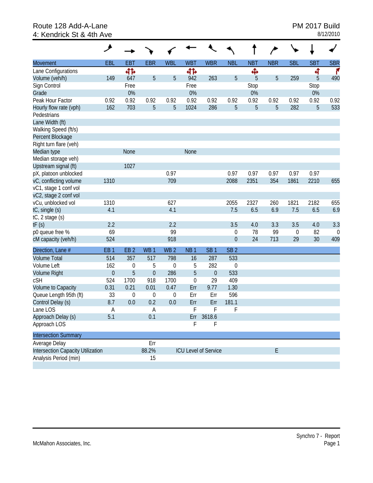### Route 128 Add-A-Lane **PM 2017 Build**<br>4: Kendrick St & 4th Ave 4: Kendrick St & 4th Ave

|                                   | حر              |                  |                  |                  |                  |                             |                  |                | ∕          |                  |            |                  |
|-----------------------------------|-----------------|------------------|------------------|------------------|------------------|-----------------------------|------------------|----------------|------------|------------------|------------|------------------|
| Movement                          | EBL             | <b>EBT</b>       | <b>EBR</b>       | <b>WBL</b>       | <b>WBT</b>       | <b>WBR</b>                  | <b>NBL</b>       | <b>NBT</b>     | <b>NBR</b> | <b>SBL</b>       | <b>SBT</b> | <b>SBR</b>       |
| Lane Configurations               |                 | 412              |                  |                  | 41               |                             |                  | Ф              |            |                  | ৰ          | ۴                |
| Volume (veh/h)                    | 149             | 647              | 5                | 5                | 942              | 263                         | 5                | 5              | 5          | 259              | 5          | 490              |
| Sign Control                      |                 | Free             |                  |                  | Free             |                             |                  | Stop           |            |                  | Stop       |                  |
| Grade                             |                 | 0%               |                  |                  | 0%               |                             |                  | $0\%$          |            |                  | $0\%$      |                  |
| Peak Hour Factor                  | 0.92            | 0.92             | 0.92             | 0.92             | 0.92             | 0.92                        | 0.92             | 0.92           | 0.92       | 0.92             | 0.92       | 0.92             |
| Hourly flow rate (vph)            | 162             | 703              | 5                | 5                | 1024             | 286                         | 5                | $\overline{5}$ | 5          | 282              | 5          | 533              |
| Pedestrians                       |                 |                  |                  |                  |                  |                             |                  |                |            |                  |            |                  |
| Lane Width (ft)                   |                 |                  |                  |                  |                  |                             |                  |                |            |                  |            |                  |
| Walking Speed (ft/s)              |                 |                  |                  |                  |                  |                             |                  |                |            |                  |            |                  |
| Percent Blockage                  |                 |                  |                  |                  |                  |                             |                  |                |            |                  |            |                  |
| Right turn flare (veh)            |                 |                  |                  |                  |                  |                             |                  |                |            |                  |            |                  |
| Median type                       |                 | None             |                  |                  | None             |                             |                  |                |            |                  |            |                  |
| Median storage veh)               |                 |                  |                  |                  |                  |                             |                  |                |            |                  |            |                  |
| Upstream signal (ft)              |                 | 1027             |                  |                  |                  |                             |                  |                |            |                  |            |                  |
| pX, platoon unblocked             |                 |                  |                  | 0.97             |                  |                             | 0.97             | 0.97           | 0.97       | 0.97             | 0.97       |                  |
| vC, conflicting volume            | 1310            |                  |                  | 709              |                  |                             | 2088             | 2351           | 354        | 1861             | 2210       | 655              |
| vC1, stage 1 conf vol             |                 |                  |                  |                  |                  |                             |                  |                |            |                  |            |                  |
| vC2, stage 2 conf vol             |                 |                  |                  |                  |                  |                             |                  |                |            |                  |            |                  |
| vCu, unblocked vol                | 1310            |                  |                  | 627              |                  |                             | 2055             | 2327           | 260        | 1821             | 2182       | 655              |
| tC, single (s)                    | 4.1             |                  |                  | 4.1              |                  |                             | 7.5              | 6.5            | 6.9        | 7.5              | 6.5        | 6.9              |
| tC, 2 stage (s)                   |                 |                  |                  |                  |                  |                             |                  |                |            |                  |            |                  |
| tF(s)                             | 2.2             |                  |                  | 2.2              |                  |                             | 3.5              | 4.0            | 3.3        | 3.5              | 4.0        | 3.3              |
| p0 queue free %                   | 69              |                  |                  | 99               |                  |                             | $\mathbf 0$      | 78             | 99         | $\boldsymbol{0}$ | 82         | $\boldsymbol{0}$ |
| cM capacity (veh/h)               | 524             |                  |                  | 918              |                  |                             | $\boldsymbol{0}$ | 24             | 713        | 29               | 30         | 409              |
| Direction, Lane #                 | EB <sub>1</sub> | EB <sub>2</sub>  | WB <sub>1</sub>  | WB <sub>2</sub>  | NB <sub>1</sub>  | SB <sub>1</sub>             | SB <sub>2</sub>  |                |            |                  |            |                  |
| <b>Volume Total</b>               | 514             | 357              | 517              | 798              | 16               | 287                         | 533              |                |            |                  |            |                  |
| Volume Left                       | 162             | 0                | 5                | $\mathbf{0}$     | 5                | 282                         | $\boldsymbol{0}$ |                |            |                  |            |                  |
| <b>Volume Right</b>               | $\mathbf 0$     | 5                | $\mathbf{0}$     | 286              | 5                | $\boldsymbol{0}$            | 533              |                |            |                  |            |                  |
| cSH                               | 524             | 1700             | 918              | 1700             | $\boldsymbol{0}$ | 29                          | 409              |                |            |                  |            |                  |
| Volume to Capacity                | 0.31            | 0.21             | 0.01             | 0.47             | Err              | 9.77                        | 1.30             |                |            |                  |            |                  |
| Queue Length 95th (ft)            | 33              | $\boldsymbol{0}$ | $\boldsymbol{0}$ | $\boldsymbol{0}$ | Err              | Err                         | 596              |                |            |                  |            |                  |
| Control Delay (s)                 | 8.7             | 0.0              | 0.2              | 0.0              | Err              | Err                         | 181.1            |                |            |                  |            |                  |
| Lane LOS                          | Α               |                  | Α                |                  | F                | F                           | F                |                |            |                  |            |                  |
| Approach Delay (s)                | 5.1             |                  | 0.1              |                  | Err              | 3618.6                      |                  |                |            |                  |            |                  |
| Approach LOS                      |                 |                  |                  |                  | F                | F                           |                  |                |            |                  |            |                  |
| <b>Intersection Summary</b>       |                 |                  |                  |                  |                  |                             |                  |                |            |                  |            |                  |
| Average Delay                     |                 |                  | Err              |                  |                  |                             |                  |                |            |                  |            |                  |
| Intersection Capacity Utilization |                 |                  | 88.2%            |                  |                  | <b>ICU Level of Service</b> |                  |                | E          |                  |            |                  |
| Analysis Period (min)             |                 |                  | 15               |                  |                  |                             |                  |                |            |                  |            |                  |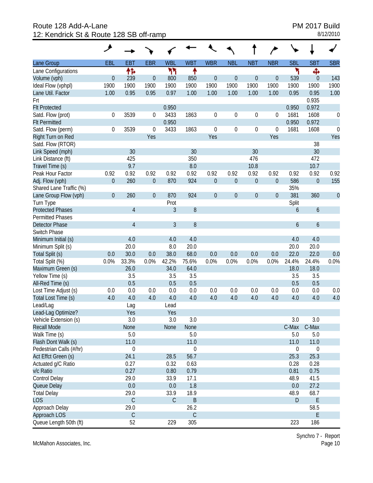Route 128 Add-A-Lane<br>
12: Kendrick St & Route 128 SB off-ramp<br>
12: Kendrick St & Route 128 SB off-ramp 12: Kendrick St & Route 128 SB off-ramp

|                         | ◢              |                |                  |             |             |                  |                  |                  |                  |            |                  |                  |
|-------------------------|----------------|----------------|------------------|-------------|-------------|------------------|------------------|------------------|------------------|------------|------------------|------------------|
| Lane Group              | EBL            | <b>EBT</b>     | <b>EBR</b>       | <b>WBL</b>  | <b>WBT</b>  | <b>WBR</b>       | <b>NBL</b>       | <b>NBT</b>       | <b>NBR</b>       | <b>SBL</b> | <b>SBT</b>       | <b>SBR</b>       |
| Lane Configurations     |                | 怍              |                  | ካኘ          | ↟           |                  |                  |                  |                  | ۲          | Ф                |                  |
| Volume (vph)            | $\theta$       | 239            | $\mathbf 0$      | 800         | 850         | $\boldsymbol{0}$ | $\boldsymbol{0}$ | $\boldsymbol{0}$ | $\boldsymbol{0}$ | 539        | $\mathbf{0}$     | 143              |
| Ideal Flow (vphpl)      | 1900           | 1900           | 1900             | 1900        | 1900        | 1900             | 1900             | 1900             | 1900             | 1900       | 1900             | 1900             |
| Lane Util. Factor       | 1.00           | 0.95           | 0.95             | 0.97        | 1.00        | 1.00             | 1.00             | 1.00             | 1.00             | 0.95       | 0.95             | 1.00             |
| Frt                     |                |                |                  |             |             |                  |                  |                  |                  |            | 0.935            |                  |
| <b>Flt Protected</b>    |                |                |                  | 0.950       |             |                  |                  |                  |                  | 0.950      | 0.972            |                  |
| Satd. Flow (prot)       | 0              | 3539           | 0                | 3433        | 1863        | $\boldsymbol{0}$ | $\mathbf 0$      | $\boldsymbol{0}$ | $\mathbf 0$      | 1681       | 1608             | 0                |
| <b>Flt Permitted</b>    |                |                |                  | 0.950       |             |                  |                  |                  |                  | 0.950      | 0.972            |                  |
| Satd. Flow (perm)       | 0              | 3539           | $\boldsymbol{0}$ | 3433        | 1863        | $\boldsymbol{0}$ | $\mathbf 0$      | $\boldsymbol{0}$ | $\mathbf 0$      | 1681       | 1608             | $\mathbf 0$      |
| Right Turn on Red       |                |                | Yes              |             |             | Yes              |                  |                  | Yes              |            |                  | Yes              |
| Satd. Flow (RTOR)       |                |                |                  |             |             |                  |                  |                  |                  |            | 38               |                  |
| Link Speed (mph)        |                | 30             |                  |             | 30          |                  |                  | 30               |                  |            | 30               |                  |
| Link Distance (ft)      |                | 425            |                  |             | 350         |                  |                  | 476              |                  |            | 472              |                  |
| Travel Time (s)         |                | 9.7            |                  |             | 8.0         |                  |                  | 10.8             |                  |            | 10.7             |                  |
| Peak Hour Factor        | 0.92           | 0.92           | 0.92             | 0.92        | 0.92        | 0.92             | 0.92             | 0.92             | 0.92             | 0.92       | 0.92             | 0.92             |
| Adj. Flow (vph)         | $\overline{0}$ | 260            | $\theta$         | 870         | 924         | $\boldsymbol{0}$ | $\boldsymbol{0}$ | $\boldsymbol{0}$ | $\boldsymbol{0}$ | 586        | $\mathbf 0$      | 155              |
| Shared Lane Traffic (%) |                |                |                  |             |             |                  |                  |                  |                  | 35%        |                  |                  |
| Lane Group Flow (vph)   | $\mathbf{0}$   | 260            | $\overline{0}$   | 870         | 924         | $\overline{0}$   | $\boldsymbol{0}$ | $\overline{0}$   | $\theta$         | 381        | 360              | $\boldsymbol{0}$ |
| Turn Type               |                |                |                  | Prot        |             |                  |                  |                  |                  | Split      |                  |                  |
| <b>Protected Phases</b> |                | $\overline{4}$ |                  | 3           | 8           |                  |                  |                  |                  | 6          | $\boldsymbol{6}$ |                  |
| <b>Permitted Phases</b> |                |                |                  |             |             |                  |                  |                  |                  |            |                  |                  |
| <b>Detector Phase</b>   |                | $\overline{4}$ |                  | 3           | 8           |                  |                  |                  |                  | 6          | $\boldsymbol{6}$ |                  |
| Switch Phase            |                |                |                  |             |             |                  |                  |                  |                  |            |                  |                  |
| Minimum Initial (s)     |                | 4.0            |                  | 4.0         | 4.0         |                  |                  |                  |                  | 4.0        | 4.0              |                  |
| Minimum Split (s)       |                | 20.0           |                  | 8.0         | 20.0        |                  |                  |                  |                  | 20.0       | 20.0             |                  |
| Total Split (s)         | 0.0            | 30.0           | 0.0              | 38.0        | 68.0        | 0.0              | 0.0              | 0.0              | 0.0              | 22.0       | 22.0             | 0.0              |
| Total Split (%)         | 0.0%           | 33.3%          | 0.0%             | 42.2%       | 75.6%       | 0.0%             | 0.0%             | 0.0%             | 0.0%             | 24.4%      | 24.4%            | 0.0%             |
| Maximum Green (s)       |                | 26.0           |                  | 34.0        | 64.0        |                  |                  |                  |                  | 18.0       | 18.0             |                  |
| Yellow Time (s)         |                | 3.5            |                  | 3.5         | 3.5         |                  |                  |                  |                  | 3.5        | 3.5              |                  |
| All-Red Time (s)        |                | 0.5            |                  | 0.5         | 0.5         |                  |                  |                  |                  | 0.5        | 0.5              |                  |
| Lost Time Adjust (s)    | 0.0            | 0.0            | 0.0              | 0.0         | 0.0         | 0.0              | 0.0              | 0.0              | 0.0              | 0.0        | 0.0              | 0.0              |
| Total Lost Time (s)     | 4.0            | 4.0            | 4.0              | 4.0         | 4.0         | 4.0              | 4.0              | 4.0              | 4.0              | 4.0        | 4.0              | 4.0              |
| Lead/Lag                |                | Lag            |                  | Lead        |             |                  |                  |                  |                  |            |                  |                  |
| Lead-Lag Optimize?      |                | Yes            |                  | Yes         |             |                  |                  |                  |                  |            |                  |                  |
| Vehicle Extension (s)   |                | 3.0            |                  | 3.0         | 3.0         |                  |                  |                  |                  | 3.0        | 3.0              |                  |
| <b>Recall Mode</b>      |                | None           |                  | None        | None        |                  |                  |                  |                  | C-Max      | C-Max            |                  |
| Walk Time (s)           |                | 5.0            |                  |             | 5.0         |                  |                  |                  |                  | 5.0        | 5.0              |                  |
| Flash Dont Walk (s)     |                | 11.0           |                  |             | 11.0        |                  |                  |                  |                  | 11.0       | 11.0             |                  |
| Pedestrian Calls (#/hr) |                | 0              |                  |             | 0           |                  |                  |                  |                  | 0          | $\boldsymbol{0}$ |                  |
| Act Effct Green (s)     |                | 24.1           |                  | 28.5        | 56.7        |                  |                  |                  |                  | 25.3       | 25.3             |                  |
| Actuated g/C Ratio      |                | 0.27           |                  | 0.32        | 0.63        |                  |                  |                  |                  | 0.28       | 0.28             |                  |
| v/c Ratio               |                | 0.27           |                  | 0.80        | 0.79        |                  |                  |                  |                  | 0.81       | 0.75             |                  |
| Control Delay           |                | 29.0           |                  | 33.9        | 17.1        |                  |                  |                  |                  | 48.9       | 41.5             |                  |
| Queue Delay             |                | 0.0            |                  | 0.0         | 1.8         |                  |                  |                  |                  | 0.0        | 27.2             |                  |
| <b>Total Delay</b>      |                | 29.0           |                  | 33.9        | 18.9        |                  |                  |                  |                  | 48.9       | 68.7             |                  |
| <b>LOS</b>              |                | $\mathsf C$    |                  | $\mathsf C$ | $\sf B$     |                  |                  |                  |                  | D          | $\mathsf E$      |                  |
| Approach Delay          |                | 29.0           |                  |             | 26.2        |                  |                  |                  |                  |            | 58.5             |                  |
| Approach LOS            |                | $\mathsf C$    |                  |             | $\mathsf C$ |                  |                  |                  |                  |            | $\mathsf E$      |                  |
| Queue Length 50th (ft)  |                | 52             |                  | 229         | 305         |                  |                  |                  |                  | 223        | 186              |                  |

McMahon Associates, Inc.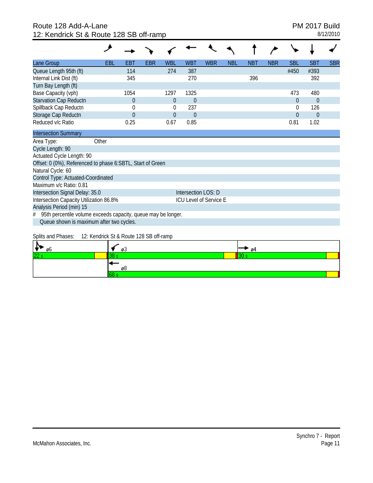# Route 128 Add-A-Lane **PM 2017 Build** 12: Kendrick St & Route 128 SB off-ramp 8/12/2010

| Lane Group                                                         | <b>EBL</b> | EBT            | EBR | <b>WBL</b>   | <b>WBT</b>          | <b>WBR</b>             | <b>NBL</b> | <b>NBT</b> | <b>NBR</b> | <b>SBL</b>     | <b>SBT</b>     | <b>SBR</b> |
|--------------------------------------------------------------------|------------|----------------|-----|--------------|---------------------|------------------------|------------|------------|------------|----------------|----------------|------------|
| Queue Length 95th (ft)                                             |            | 114            |     | 274          | 387                 |                        |            |            |            | #450           | #393           |            |
| Internal Link Dist (ft)                                            |            | 345            |     |              | 270                 |                        |            | 396        |            |                | 392            |            |
| Turn Bay Length (ft)                                               |            |                |     |              |                     |                        |            |            |            |                |                |            |
| Base Capacity (vph)                                                |            | 1054           |     | 1297         | 1325                |                        |            |            |            | 473            | 480            |            |
| Starvation Cap Reductn                                             |            | $\overline{0}$ |     | $\theta$     | $\mathbf{0}$        |                        |            |            |            | $\overline{0}$ | $\overline{0}$ |            |
| Spillback Cap Reductn                                              |            | 0              |     | $\Omega$     | 237                 |                        |            |            |            | $\Omega$       | 126            |            |
| Storage Cap Reductn                                                |            | $\overline{0}$ |     | $\mathbf{0}$ | $\mathbf{0}$        |                        |            |            |            | $\overline{0}$ | $\mathbf{0}$   |            |
| Reduced v/c Ratio                                                  |            | 0.25           |     | 0.67         | 0.85                |                        |            |            |            | 0.81           | 1.02           |            |
| <b>Intersection Summary</b>                                        |            |                |     |              |                     |                        |            |            |            |                |                |            |
| Area Type:                                                         | Other      |                |     |              |                     |                        |            |            |            |                |                |            |
| Cycle Length: 90                                                   |            |                |     |              |                     |                        |            |            |            |                |                |            |
| Actuated Cycle Length: 90                                          |            |                |     |              |                     |                        |            |            |            |                |                |            |
| Offset: 0 (0%), Referenced to phase 6:SBTL, Start of Green         |            |                |     |              |                     |                        |            |            |            |                |                |            |
| Natural Cycle: 60                                                  |            |                |     |              |                     |                        |            |            |            |                |                |            |
| Control Type: Actuated-Coordinated                                 |            |                |     |              |                     |                        |            |            |            |                |                |            |
| Maximum v/c Ratio: 0.81                                            |            |                |     |              |                     |                        |            |            |            |                |                |            |
| Intersection Signal Delay: 35.0                                    |            |                |     |              | Intersection LOS: D |                        |            |            |            |                |                |            |
| Intersection Capacity Utilization 86.8%                            |            |                |     |              |                     | ICU Level of Service E |            |            |            |                |                |            |
| Analysis Period (min) 15                                           |            |                |     |              |                     |                        |            |            |            |                |                |            |
| 95th percentile volume exceeds capacity, queue may be longer.<br># |            |                |     |              |                     |                        |            |            |            |                |                |            |
| Queue shown is maximum after two cycles.                           |            |                |     |              |                     |                        |            |            |            |                |                |            |

Splits and Phases: 12: Kendrick St & Route 128 SB off-ramp

| øь<br>ு         | ØJ | ‴ ø4 |
|-----------------|----|------|
| $\overline{22}$ |    |      |
|                 | øŏ |      |
|                 |    |      |